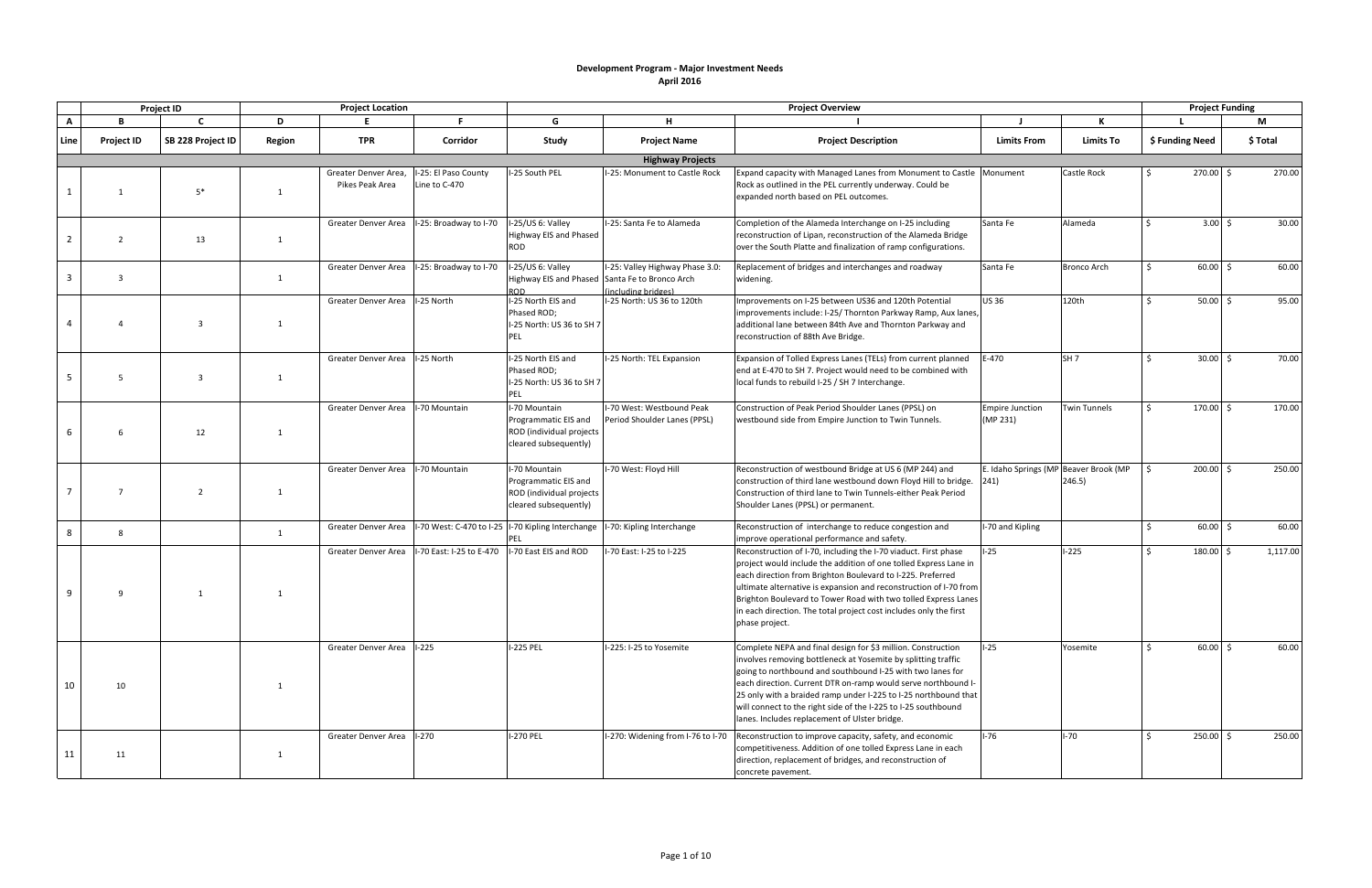|                |                   | <b>Project ID</b> |        | <b>Project Location</b>                 |                                       |                                                                                            |                                                                                   | <b>Project Overview</b>                                                                                                                                                                                                                                                                                                                                                                                                                            |                                    |                                                 |                 | <b>Project Funding</b> |          |
|----------------|-------------------|-------------------|--------|-----------------------------------------|---------------------------------------|--------------------------------------------------------------------------------------------|-----------------------------------------------------------------------------------|----------------------------------------------------------------------------------------------------------------------------------------------------------------------------------------------------------------------------------------------------------------------------------------------------------------------------------------------------------------------------------------------------------------------------------------------------|------------------------------------|-------------------------------------------------|-----------------|------------------------|----------|
| $\mathbf{A}$   | R.                | $\mathbf{C}$      | D      |                                         | F.                                    | G                                                                                          | н.                                                                                |                                                                                                                                                                                                                                                                                                                                                                                                                                                    |                                    |                                                 |                 |                        | M        |
| Line           | <b>Project ID</b> | SB 228 Project ID | Region | <b>TPR</b>                              | Corridor                              | Study                                                                                      | <b>Project Name</b>                                                               | <b>Project Description</b>                                                                                                                                                                                                                                                                                                                                                                                                                         | <b>Limits From</b>                 | <b>Limits To</b>                                | \$ Funding Need |                        | \$ Total |
|                |                   |                   |        |                                         |                                       |                                                                                            | <b>Highway Projects</b>                                                           |                                                                                                                                                                                                                                                                                                                                                                                                                                                    |                                    |                                                 |                 |                        |          |
|                |                   | $5*$              | -1     | Greater Denver Area,<br>Pikes Peak Area | I-25: El Paso County<br>Line to C-470 | I-25 South PEL                                                                             | I-25: Monument to Castle Rock                                                     | Expand capacity with Managed Lanes from Monument to Castle   Monument<br>Rock as outlined in the PEL currently underway. Could be<br>expanded north based on PEL outcomes.                                                                                                                                                                                                                                                                         |                                    | <b>Castle Rock</b>                              |                 | $270.00$ \$            | 270.00   |
| $\overline{2}$ | $\overline{2}$    | 13                | 1      | Greater Denver Area                     | I-25: Broadway to I-70                | I-25/US 6: Valley<br>Highway EIS and Phased<br>ROD                                         | -25: Santa Fe to Alameda                                                          | Completion of the Alameda Interchange on I-25 including<br>reconstruction of Lipan, reconstruction of the Alameda Bridge<br>over the South Platte and finalization of ramp configurations.                                                                                                                                                                                                                                                         | Santa Fe                           | Alameda                                         | Ŝ.              | $3.00 \div$            | 30.00    |
| 3              | 3                 |                   | 1      | Greater Denver Area                     | I-25: Broadway to I-70                | I-25/US 6: Valley<br>Highway EIS and Phased                                                | I-25: Valley Highway Phase 3.0:<br>Santa Fe to Bronco Arch<br>(including bridges) | Replacement of bridges and interchanges and roadway<br>widening.                                                                                                                                                                                                                                                                                                                                                                                   | Santa Fe                           | <b>Bronco Arch</b>                              | $\zeta$         | $60.00$ \$             | 60.00    |
|                |                   | $\overline{3}$    | 1      | Greater Denver Area                     | I-25 North                            | I-25 North EIS and<br>Phased ROD;<br>I-25 North: US 36 to SH 7<br>PEL                      | I-25 North: US 36 to 120th                                                        | Improvements on I-25 between US36 and 120th Potential<br>improvements include: I-25/ Thornton Parkway Ramp, Aux lanes,<br>additional lane between 84th Ave and Thornton Parkway and<br>reconstruction of 88th Ave Bridge.                                                                                                                                                                                                                          | <b>US36</b>                        | 120th                                           | $\zeta$         | $50.00$ \$             | 95.00    |
| -5             | 5                 | 3                 | -1     | Greater Denver Area                     | I-25 North                            | I-25 North EIS and<br>Phased ROD;<br>I-25 North: US 36 to SH 7<br>PEL                      | I-25 North: TEL Expansion                                                         | Expansion of Tolled Express Lanes (TELs) from current planned<br>end at E-470 to SH 7. Project would need to be combined with<br>local funds to rebuild I-25 / SH 7 Interchange.                                                                                                                                                                                                                                                                   | $E-470$                            | SH <sub>7</sub>                                 |                 | $30.00$ \$             | 70.00    |
| 6              | 6                 | 12                | -1     | Greater Denver Area                     | I-70 Mountain                         | I-70 Mountain<br>Programmatic EIS and<br>ROD (individual projects<br>cleared subsequently) | -70 West: Westbound Peak<br>Period Shoulder Lanes (PPSL)                          | Construction of Peak Period Shoulder Lanes (PPSL) on<br>westbound side from Empire Junction to Twin Tunnels.                                                                                                                                                                                                                                                                                                                                       | <b>Empire Junction</b><br>(MP 231) | <b>Twin Tunnels</b>                             | <sup>5</sup>    | $170.00$ \$            | 170.00   |
|                | $\overline{7}$    | $\overline{2}$    | 1      | Greater Denver Area                     | I-70 Mountain                         | -70 Mountain<br>Programmatic EIS and<br>ROD (individual projects<br>cleared subsequently)  | I-70 West: Floyd Hill                                                             | Reconstruction of westbound Bridge at US 6 (MP 244) and<br>construction of third lane westbound down Floyd Hill to bridge.<br>Construction of third lane to Twin Tunnels-either Peak Period<br>Shoulder Lanes (PPSL) or permanent.                                                                                                                                                                                                                 | 241)                               | E. Idaho Springs (MP Beaver Brook (MP<br>246.5) |                 | $200.00$ \$            | 250.00   |
| 8              | 8                 |                   | 1      | Greater Denver Area                     |                                       | -70 West: C-470 to I-25   I-70 Kipling Interchange                                         | -70: Kipling Interchange                                                          | Reconstruction of interchange to reduce congestion and<br>improve operational performance and safety.                                                                                                                                                                                                                                                                                                                                              | I-70 and Kipling                   |                                                 |                 | $60.00$ \$             | 60.00    |
| 9              | 9                 |                   | 1      | Greater Denver Area                     | I-70 East: I-25 to E-470              | I-70 East EIS and ROD                                                                      | -70 East: I-25 to I-225                                                           | Reconstruction of I-70, including the I-70 viaduct. First phase<br>project would include the addition of one tolled Express Lane in<br>each direction from Brighton Boulevard to I-225. Preferred<br>ultimate alternative is expansion and reconstruction of I-70 from<br>Brighton Boulevard to Tower Road with two tolled Express Lanes<br>in each direction. The total project cost includes only the first<br>phase project.                    | $I-25$                             | $I-225$                                         |                 | $180.00$ \$            | 1,117.00 |
| 10             | 10                |                   | -1     | Greater Denver Area  -225               |                                       | <b>I-225 PEL</b>                                                                           | I-225: I-25 to Yosemite                                                           | Complete NEPA and final design for \$3 million. Construction<br>involves removing bottleneck at Yosemite by splitting traffic<br>going to northbound and southbound I-25 with two lanes for<br>each direction. Current DTR on-ramp would serve northbound I-<br>25 only with a braided ramp under I-225 to I-25 northbound that<br>will connect to the right side of the I-225 to I-25 southbound<br>lanes. Includes replacement of Ulster bridge. | $I-25$                             | Yosemite                                        | $\zeta$         | $60.00$ \$             | 60.00    |
| 11             | 11                |                   | 1      | Greater Denver Area  -270               |                                       | I-270 PEL                                                                                  | I-270: Widening from I-76 to I-70                                                 | Reconstruction to improve capacity, safety, and economic<br>competitiveness. Addition of one tolled Express Lane in each<br>direction, replacement of bridges, and reconstruction of<br>concrete pavement.                                                                                                                                                                                                                                         | $I-76$                             | $I-70$                                          | <sup>5</sup>    | $250.00$ \$            | 250.00   |

## **Development Program ‐ Major Investment Needs April 2016**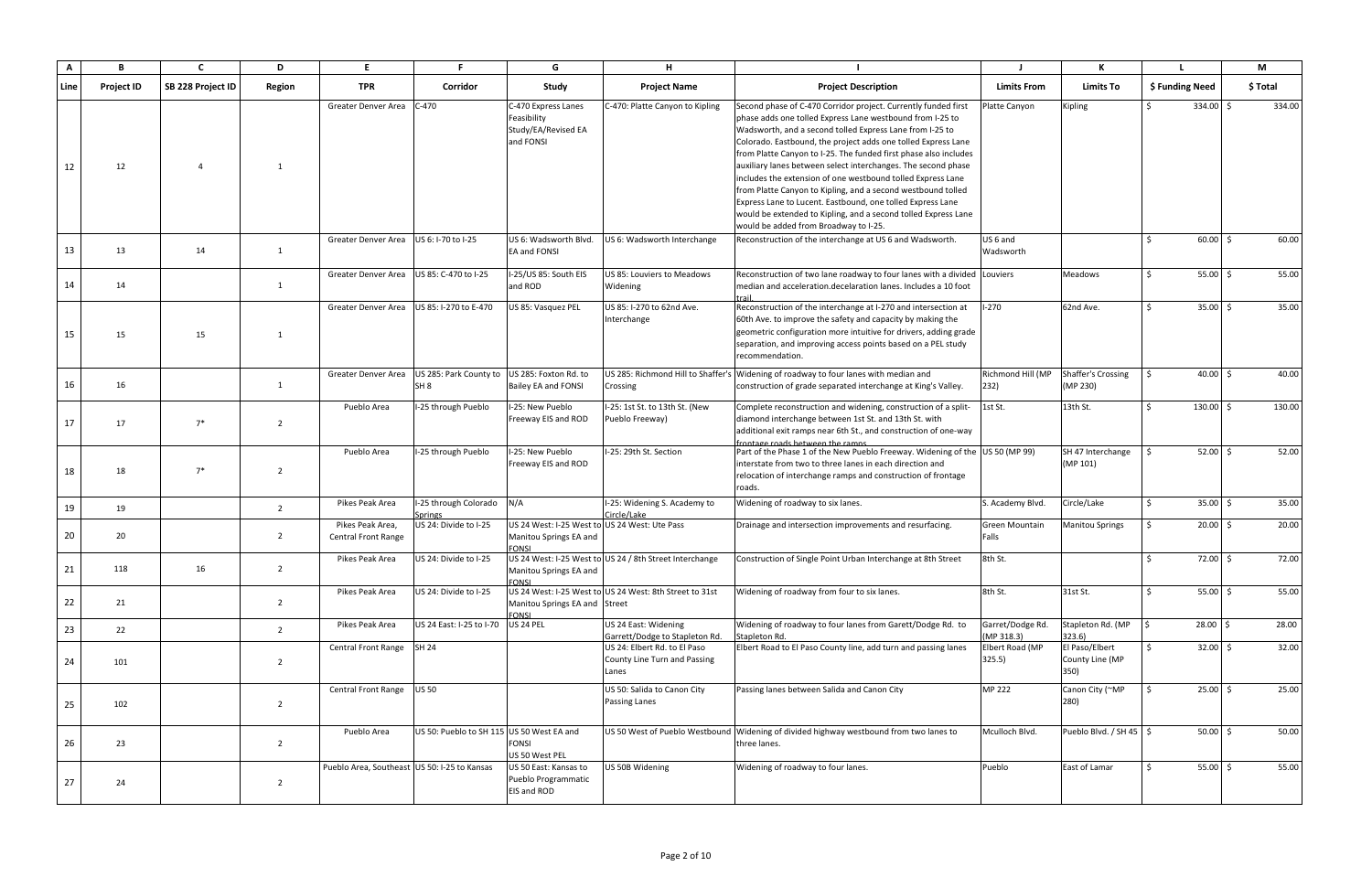| $\mathsf{A}$ | B                 | $\mathbf{C}$      | D              | E.                                             | F.                                        | G                                                                                       | H                                                                     |                                                                                                                                                                                                                                                                                                                                                                                                                                                                                                                                                                                                                                                                                                       |                                  |                                           |                        |            | M        |
|--------------|-------------------|-------------------|----------------|------------------------------------------------|-------------------------------------------|-----------------------------------------------------------------------------------------|-----------------------------------------------------------------------|-------------------------------------------------------------------------------------------------------------------------------------------------------------------------------------------------------------------------------------------------------------------------------------------------------------------------------------------------------------------------------------------------------------------------------------------------------------------------------------------------------------------------------------------------------------------------------------------------------------------------------------------------------------------------------------------------------|----------------------------------|-------------------------------------------|------------------------|------------|----------|
| Line         | <b>Project ID</b> | SB 228 Project ID | Region         | TPR                                            | Corridor                                  | Study                                                                                   | <b>Project Name</b>                                                   | <b>Project Description</b>                                                                                                                                                                                                                                                                                                                                                                                                                                                                                                                                                                                                                                                                            | <b>Limits From</b>               | <b>Limits To</b>                          | \$ Funding Need        |            | \$ Total |
| 12           | 12                | $\overline{4}$    | -1             | Greater Denver Area                            | $C-470$                                   | C-470 Express Lanes<br>Feasibility<br>Study/EA/Revised EA<br>and FONSI                  | C-470: Platte Canyon to Kipling                                       | Second phase of C-470 Corridor project. Currently funded first<br>phase adds one tolled Express Lane westbound from I-25 to<br>Wadsworth, and a second tolled Express Lane from I-25 to<br>Colorado. Eastbound, the project adds one tolled Express Lane<br>from Platte Canyon to I-25. The funded first phase also includes<br>auxiliary lanes between select interchanges. The second phase<br>includes the extension of one westbound tolled Express Lane<br>from Platte Canyon to Kipling, and a second westbound tolled<br>Express Lane to Lucent. Eastbound, one tolled Express Lane<br>would be extended to Kipling, and a second tolled Express Lane<br>would be added from Broadway to I-25. | Platte Canyon                    | Kipling                                   | $334.00$ \$            |            | 334.00   |
| 13           | 13                | 14                | 1              | Greater Denver Area                            | US 6: I-70 to I-25                        | US 6: Wadsworth Blvd.<br>EA and FONSI                                                   | US 6: Wadsworth Interchange                                           | Reconstruction of the interchange at US6 and Wadsworth.                                                                                                                                                                                                                                                                                                                                                                                                                                                                                                                                                                                                                                               | US <sub>6</sub> and<br>Wadsworth |                                           | $60.00$ \$             |            | 60.00    |
| 14           | 14                |                   | 1              | Greater Denver Area                            | US 85: C-470 to I-25                      | I-25/US 85: South EIS<br>and ROD                                                        | US 85: Louviers to Meadows<br>Widening                                | Reconstruction of two lane roadway to four lanes with a divided Louviers<br>median and acceleration.decelaration lanes. Includes a 10 foot                                                                                                                                                                                                                                                                                                                                                                                                                                                                                                                                                            |                                  | <b>Meadows</b>                            | $55.00 \, \text{S}$    |            | 55.00    |
| 15           | 15                | 15                | -1             | Greater Denver Area                            | US 85: I-270 to E-470                     | US 85: Vasquez PEL                                                                      | US 85: I-270 to 62nd Ave.<br>Interchange                              | Reconstruction of the interchange at I-270 and intersection at<br>60th Ave. to improve the safety and capacity by making the<br>geometric configuration more intuitive for drivers, adding grade<br>separation, and improving access points based on a PEL study<br>recommendation.                                                                                                                                                                                                                                                                                                                                                                                                                   | $I-270$                          | 62nd Ave.                                 | $35.00 \, \text{S}$    |            | 35.00    |
| 16           | 16                |                   | 1              | Greater Denver Area                            | US 285: Park County to<br>SH <sub>8</sub> | US 285: Foxton Rd. to<br>Bailey EA and FONSI                                            | Crossing                                                              | JS 285: Richmond Hill to Shaffer's Widening of roadway to four lanes with median and<br>construction of grade separated interchange at King's Valley.                                                                                                                                                                                                                                                                                                                                                                                                                                                                                                                                                 | Richmond Hill (MP<br>232)        | Shaffer's Crossing<br>(MP 230)            |                        | $40.00$ \$ | 40.00    |
| 17           | 17                | $7^*$             | $\overline{2}$ | Pueblo Area                                    | I-25 through Pueblo                       | I-25: New Pueblo<br>Freeway EIS and ROD                                                 | I-25: 1st St. to 13th St. (New<br>Pueblo Freeway)                     | Complete reconstruction and widening, construction of a split-<br>diamond interchange between 1st St. and 13th St. with<br>additional exit ramps near 6th St., and construction of one-way<br>frontage roads between the ramns                                                                                                                                                                                                                                                                                                                                                                                                                                                                        | 1st St.                          | 13th St.                                  | $130.00$ \$            |            | 130.00   |
| 18           | 18                | $7^*$             | 2              | Pueblo Area                                    | I-25 through Pueblo                       | -25: New Pueblo<br>Freeway EIS and ROD                                                  | I-25: 29th St. Section                                                | Part of the Phase 1 of the New Pueblo Freeway. Widening of the US 50 (MP 99)<br>interstate from two to three lanes in each direction and<br>relocation of interchange ramps and construction of frontage<br>roads.                                                                                                                                                                                                                                                                                                                                                                                                                                                                                    |                                  | SH 47 Interchange<br>(MP 101)             | $52.00$ $\overline{5}$ |            | 52.00    |
| 19           | 19                |                   | $\overline{2}$ | Pikes Peak Area                                | I-25 through Colorado<br>Springs          | N/A                                                                                     | I-25: Widening S. Academy to<br>Circle/Lake                           | Widening of roadway to six lanes.                                                                                                                                                                                                                                                                                                                                                                                                                                                                                                                                                                                                                                                                     | S. Academy Blvd.                 | Circle/Lake                               | $35.00 \quad $$        |            | 35.00    |
| 20           | 20                |                   | $\overline{2}$ | Pikes Peak Area,<br><b>Central Front Range</b> | US 24: Divide to I-25                     | US 24 West: I-25 West to US 24 West: Ute Pass<br>Manitou Springs EA and<br><b>FONSI</b> |                                                                       | Drainage and intersection improvements and resurfacing.                                                                                                                                                                                                                                                                                                                                                                                                                                                                                                                                                                                                                                               | <b>Green Mountain</b><br>Falls   | <b>Manitou Springs</b>                    | $20.00$ \$             |            | 20.00    |
| 21           | 118               | 16                | $\overline{2}$ | Pikes Peak Area                                | US 24: Divide to I-25                     | Manitou Springs EA and<br><b>FONSI</b>                                                  | US 24 West: I-25 West to US 24 / 8th Street Interchange               | Construction of Single Point Urban Interchange at 8th Street                                                                                                                                                                                                                                                                                                                                                                                                                                                                                                                                                                                                                                          | 8th St.                          |                                           | $72.00$ \$             |            | 72.00    |
| 22           | 21                |                   | $\overline{2}$ | Pikes Peak Area                                | US 24: Divide to I-25                     | Manitou Springs EA and Street<br><b>FONSI</b>                                           | US 24 West: I-25 West to US 24 West: 8th Street to 31st               | Widening of roadway from four to six lanes.                                                                                                                                                                                                                                                                                                                                                                                                                                                                                                                                                                                                                                                           | 8th St.                          | 31st St.                                  |                        | $55.00$ \$ | 55.00    |
| 23           | 22                |                   | $\overline{2}$ | Pikes Peak Area                                | US 24 East: I-25 to I-70                  | <b>US 24 PEL</b>                                                                        | US 24 East: Widening<br>Garrett/Dodge to Stapleton Rd.                | Widening of roadway to four lanes from Garett/Dodge Rd. to<br>Stapleton Rd.                                                                                                                                                                                                                                                                                                                                                                                                                                                                                                                                                                                                                           | Garret/Dodge Rd.<br>(MP 318.3)   | Stapleton Rd. (MP<br>323.6)               | $28.00$ \$             |            | 28.00    |
| 24           | 101               |                   | $\overline{2}$ | Central Front Range                            | <b>SH 24</b>                              |                                                                                         | US 24: Elbert Rd. to El Paso<br>County Line Turn and Passing<br>Lanes | Elbert Road to El Paso County line, add turn and passing lanes                                                                                                                                                                                                                                                                                                                                                                                                                                                                                                                                                                                                                                        | Elbert Road (MP<br>325.5)        | El Paso/Elbert<br>County Line (MP<br>350) |                        | $32.00$ \$ | 32.00    |
| 25           | 102               |                   | $\overline{2}$ | <b>Central Front Range</b>                     | <b>US 50</b>                              |                                                                                         | US 50: Salida to Canon City<br>Passing Lanes                          | Passing lanes between Salida and Canon City                                                                                                                                                                                                                                                                                                                                                                                                                                                                                                                                                                                                                                                           | MP 222                           | Canon City (~MP<br>280)                   | $25.00$ \$             |            | 25.00    |
| 26           | 23                |                   | $\overline{2}$ | Pueblo Area                                    | US 50: Pueblo to SH 115 US 50 West EA and | FONSI<br>US 50 West PEL                                                                 |                                                                       | US 50 West of Pueblo Westbound   Widening of divided highway westbound from two lanes to<br>three lanes.                                                                                                                                                                                                                                                                                                                                                                                                                                                                                                                                                                                              | Mculloch Blvd.                   | Pueblo Blvd. / SH 45   \$                 |                        | $50.00$ \$ | 50.00    |
| 27           | 24                |                   | $\overline{2}$ | Pueblo Area, Southeast US 50: I-25 to Kansas   |                                           | US 50 East: Kansas to<br>Pueblo Programmatic<br>EIS and ROD                             | US 50B Widening                                                       | Widening of roadway to four lanes.                                                                                                                                                                                                                                                                                                                                                                                                                                                                                                                                                                                                                                                                    | Pueblo                           | East of Lamar                             | <b>S</b>               | $55.00$ \$ | 55.00    |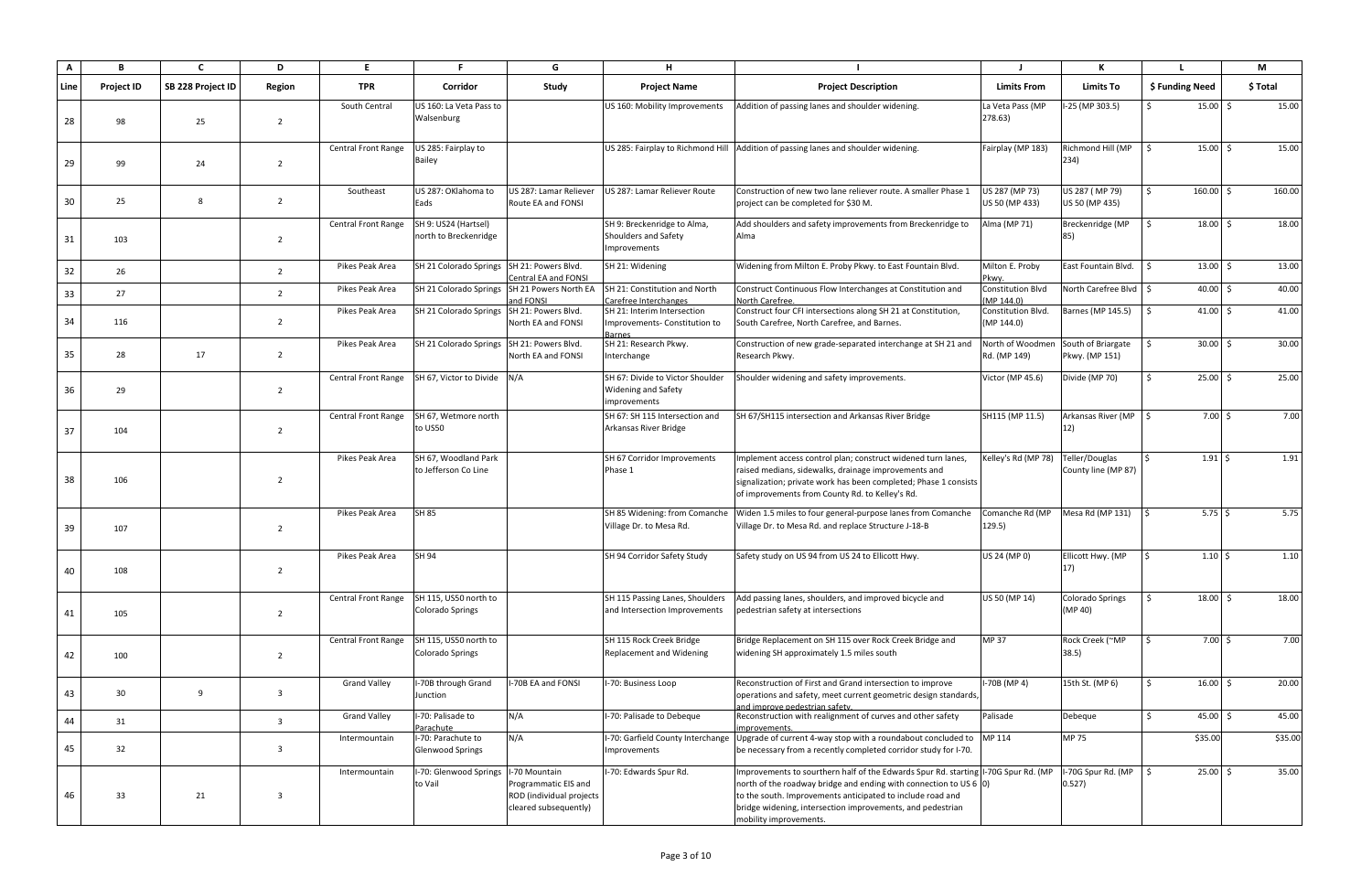| A    | B                 | C                 | D              | E                          | F.                                               | G                                                                                         | н                                                                              |                                                                                                                                                                                                                                                                                                                        |                                        | К                                     |                             | M        |
|------|-------------------|-------------------|----------------|----------------------------|--------------------------------------------------|-------------------------------------------------------------------------------------------|--------------------------------------------------------------------------------|------------------------------------------------------------------------------------------------------------------------------------------------------------------------------------------------------------------------------------------------------------------------------------------------------------------------|----------------------------------------|---------------------------------------|-----------------------------|----------|
| Line | <b>Project ID</b> | SB 228 Project ID | Region         | <b>TPR</b>                 | Corridor                                         | Study                                                                                     | <b>Project Name</b>                                                            | <b>Project Description</b>                                                                                                                                                                                                                                                                                             | <b>Limits From</b>                     | <b>Limits To</b>                      | \$ Funding Need             | \$ Total |
| 28   | 98                | 25                | $\overline{2}$ | South Central              | US 160: La Veta Pass to<br>Walsenburg            |                                                                                           | US 160: Mobility Improvements                                                  | Addition of passing lanes and shoulder widening.                                                                                                                                                                                                                                                                       | La Veta Pass (MP<br>278.63)            | I-25 (MP 303.5)                       | $15.00 \&$<br>$\zeta$       | 15.00    |
| 29   | 99                | 24                | $\overline{2}$ | <b>Central Front Range</b> | US 285: Fairplay to<br><b>Bailey</b>             |                                                                                           |                                                                                | US 285: Fairplay to Richmond Hill Addition of passing lanes and shoulder widening.                                                                                                                                                                                                                                     | Fairplay (MP 183)                      | Richmond Hill (MP<br>234)             | $15.00 \&$                  | 15.00    |
| 30   | 25                | 8                 | $\overline{2}$ | Southeast                  | US 287: OKlahoma to<br>Eads                      | US 287: Lamar Reliever<br>Route EA and FONSI                                              | US 287: Lamar Reliever Route                                                   | Construction of new two lane reliever route. A smaller Phase 1<br>project can be completed for \$30 M.                                                                                                                                                                                                                 | US 287 (MP 73)<br>US 50 (MP 433)       | US 287 (MP 79)<br>US 50 (MP 435)      | $160.00$ \$                 | 160.00   |
| 31   | 103               |                   | $\overline{2}$ | Central Front Range        | SH 9: US24 (Hartsel)<br>north to Breckenridge    |                                                                                           | SH 9: Breckenridge to Alma,<br>Shoulders and Safety<br>Improvements            | Add shoulders and safety improvements from Breckenridge to<br>Alma                                                                                                                                                                                                                                                     | Alma (MP 71)                           | Breckenridge (MP                      | $18.00 \div$                | 18.00    |
| 32   | 26                |                   | $\overline{2}$ | Pikes Peak Area            | SH 21 Colorado Springs SH 21: Powers Blvd.       | Central EA and FONSI                                                                      | SH 21: Widening                                                                | Widening from Milton E. Proby Pkwy. to East Fountain Blvd.                                                                                                                                                                                                                                                             | Milton E. Proby<br>Pkwy.               | East Fountain Blvd.                   | $13.00 \mid \zeta$<br>S.    | 13.00    |
| 33   | 27                |                   | $\overline{2}$ | Pikes Peak Area            | SH 21 Colorado Springs                           | SH 21 Powers North EA<br>and FONSI                                                        | SH 21: Constitution and North<br>Carefree Interchanges                         | Construct Continuous Flow Interchanges at Constitution and<br>North Carefree.                                                                                                                                                                                                                                          | <b>Constitution Blvd</b><br>(MP 144.0) | North Carefree Blvd   \$              | $40.00$ \$                  | 40.00    |
| 34   | 116               |                   | $\overline{2}$ | Pikes Peak Area            | SH 21 Colorado Springs SH 21: Powers Blvd.       | North EA and FONSI                                                                        | SH 21: Interim Intersection<br>Improvements-Constitution to<br><b>Barnes</b>   | Construct four CFI intersections along SH 21 at Constitution,<br>South Carefree, North Carefree, and Barnes.                                                                                                                                                                                                           | Constitution Blvd.<br>(MP 144.0)       | Barnes (MP 145.5)                     | $41.00$ \$                  | 41.00    |
| 35   | 28                | 17                | $\overline{2}$ | Pikes Peak Area            | SH 21 Colorado Springs SH 21: Powers Blvd.       | North EA and FONSI                                                                        | SH 21: Research Pkwy.<br>Interchange                                           | Construction of new grade-separated interchange at SH 21 and<br>Research Pkwy.                                                                                                                                                                                                                                         | North of Woodmen<br>Rd. (MP 149)       | South of Briargate<br>Pkwy. (MP 151)  | $30.00$ \$                  | 30.00    |
| 36   | 29                |                   | $\overline{2}$ | <b>Central Front Range</b> | SH 67, Victor to Divide N/A                      |                                                                                           | SH 67: Divide to Victor Shoulder<br><b>Widening and Safety</b><br>improvements | Shoulder widening and safety improvements.                                                                                                                                                                                                                                                                             | Victor (MP 45.6)                       | Divide (MP 70)                        | $25.00$ \$                  | 25.00    |
| 37   | 104               |                   | $\overline{2}$ | <b>Central Front Range</b> | SH 67, Wetmore north<br>to US50                  |                                                                                           | SH 67: SH 115 Intersection and<br>Arkansas River Bridge                        | SH 67/SH115 intersection and Arkansas River Bridge                                                                                                                                                                                                                                                                     | SH115 (MP 11.5)                        | Arkansas River (MP<br>12)             | $7.00 \pm$                  | 7.00     |
| 38   | 106               |                   | $\overline{2}$ | Pikes Peak Area            | SH 67, Woodland Park<br>to Jefferson Co Line     |                                                                                           | SH 67 Corridor Improvements<br>Phase 1                                         | Implement access control plan; construct widened turn lanes,<br>raised medians, sidewalks, drainage improvements and<br>signalization; private work has been completed; Phase 1 consists<br>of improvements from County Rd. to Kelley's Rd.                                                                            | Kelley's Rd (MP 78)                    | Teller/Douglas<br>County line (MP 87) | $1.91 \,$ \$                | 1.91     |
| 39   | 107               |                   | $\overline{2}$ | Pikes Peak Area            | <b>SH 85</b>                                     |                                                                                           | SH 85 Widening: from Comanche<br>Village Dr. to Mesa Rd.                       | Widen 1.5 miles to four general-purpose lanes from Comanche<br>Village Dr. to Mesa Rd. and replace Structure J-18-B                                                                                                                                                                                                    | Comanche Rd (MP<br>129.5)              | Mesa Rd (MP 131)                      | $5.75$ \$                   | 5.75     |
| 40   | 108               |                   | $\overline{2}$ | Pikes Peak Area            | SH 94                                            |                                                                                           | SH 94 Corridor Safety Study                                                    | Safety study on US 94 from US 24 to Ellicott Hwy.                                                                                                                                                                                                                                                                      | US 24 (MP 0)                           | Ellicott Hwy. (MP<br>17)              | $1.10$   \$                 | 1.10     |
| 41   | 105               |                   | $\overline{2}$ | <b>Central Front Range</b> | SH 115, US50 north to<br><b>Colorado Springs</b> |                                                                                           | SH 115 Passing Lanes, Shoulders<br>and Intersection Improvements               | Add passing lanes, shoulders, and improved bicycle and<br>pedestrian safety at intersections                                                                                                                                                                                                                           | US 50 (MP 14)                          | <b>Colorado Springs</b><br>(MP 40)    | $18.00 \div$                | 18.00    |
| 42   | 100               |                   | $\overline{2}$ | <b>Central Front Range</b> | SH 115, US50 north to<br>Colorado Springs        |                                                                                           | SH 115 Rock Creek Bridge<br>Replacement and Widening                           | Bridge Replacement on SH 115 over Rock Creek Bridge and<br>widening SH approximately 1.5 miles south                                                                                                                                                                                                                   | <b>MP37</b>                            | Rock Creek (~MP<br>38.5)              | $7.00\;$ \$                 | 7.00     |
| 43   | 30                | 9                 | $\overline{3}$ | <b>Grand Valley</b>        | I-70B through Grand<br>Junction                  | I-70B EA and FONSI                                                                        | I-70: Business Loop                                                            | Reconstruction of First and Grand intersection to improve<br>operations and safety, meet current geometric design standards,<br>and improve pedestrian safety.                                                                                                                                                         | I-70B (MP 4)                           | 15th St. (MP 6)                       | $16.00$ \$                  | 20.00    |
| 44   | 31                |                   | $\overline{3}$ | <b>Grand Valley</b>        | I-70: Palisade to<br>Parachute                   | N/A                                                                                       | I-70: Palisade to Debeque                                                      | Reconstruction with realignment of curves and other safety<br>improvements.                                                                                                                                                                                                                                            | Palisade                               | Debeque                               | $\mathcal{S}$<br>$45.00$ \$ | 45.00    |
| 45   | 32                |                   | $\overline{3}$ | Intermountain              | I-70: Parachute to<br><b>Glenwood Springs</b>    | N/A                                                                                       | Improvements                                                                   | I-70: Garfield County Interchange Upgrade of current 4-way stop with a roundabout concluded to MP 114<br>be necessary from a recently completed corridor study for I-70.                                                                                                                                               |                                        | <b>MP 75</b>                          | \$35.00                     | \$35.00  |
| 46   | 33                | 21                | $\overline{3}$ | Intermountain              | I-70: Glenwood Springs<br>to Vail                | -70 Mountain<br>Programmatic EIS and<br>ROD (individual projects<br>cleared subsequently) | I-70: Edwards Spur Rd.                                                         | Improvements to sourthern half of the Edwards Spur Rd. starting I-70G Spur Rd. (MP<br>north of the roadway bridge and ending with connection to US 6 $ 0\rangle$<br>to the south. Improvements anticipated to include road and<br>bridge widening, intersection improvements, and pedestrian<br>mobility improvements. |                                        | I-70G Spur Rd. (MP<br>0.527)          | $25.00$ \$<br>$\zeta$       | 35.00    |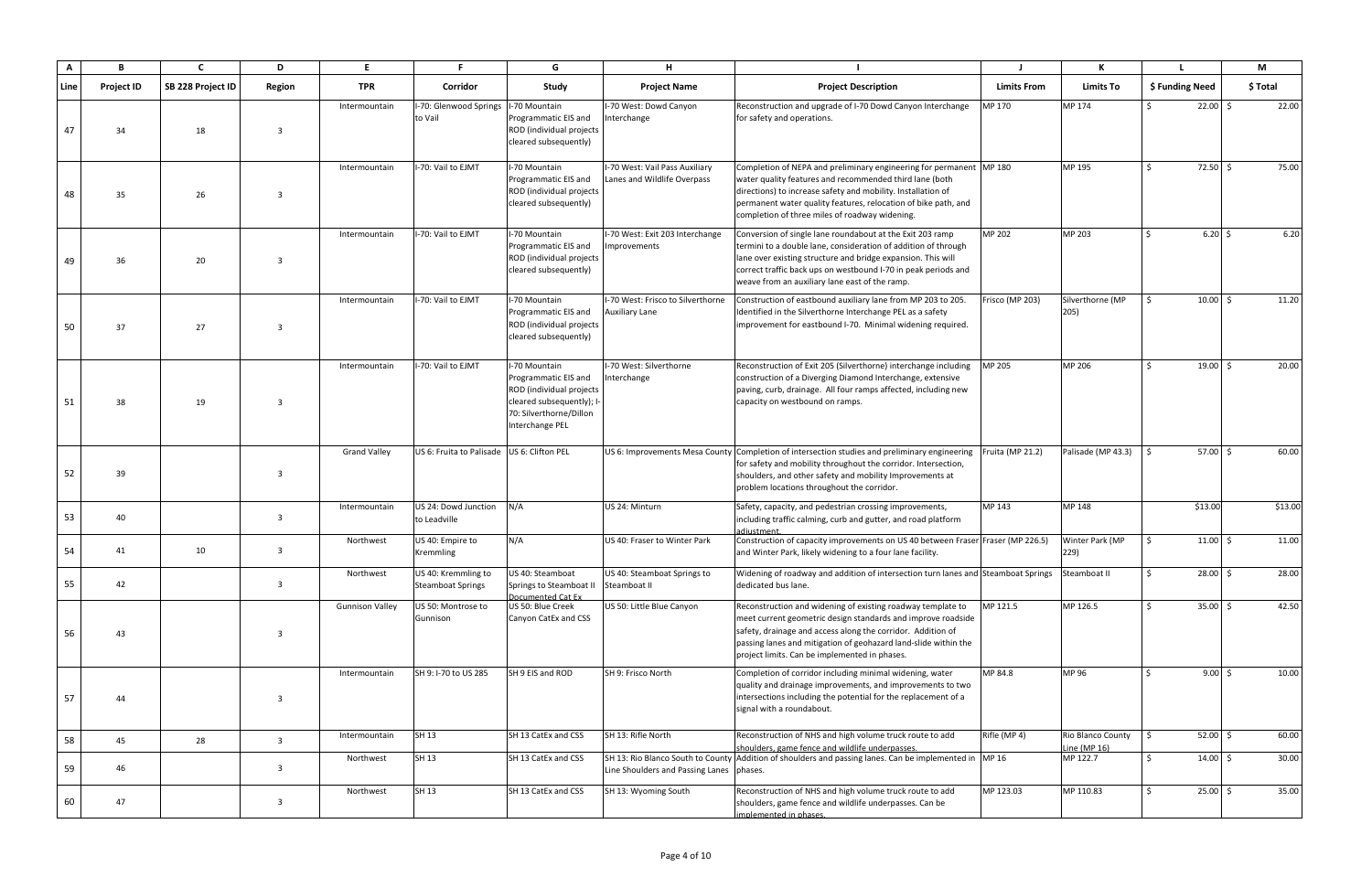| A    | В                 | $\mathsf{C}$      | D              | E                      |                                                 | G                                                                                                                                            | H                                                            |                                                                                                                                                                                                                                                                                                                    |                    |                                   |                         | M        |
|------|-------------------|-------------------|----------------|------------------------|-------------------------------------------------|----------------------------------------------------------------------------------------------------------------------------------------------|--------------------------------------------------------------|--------------------------------------------------------------------------------------------------------------------------------------------------------------------------------------------------------------------------------------------------------------------------------------------------------------------|--------------------|-----------------------------------|-------------------------|----------|
| Line | <b>Project ID</b> | SB 228 Project ID | Region         | <b>TPR</b>             | Corridor                                        | Study                                                                                                                                        | <b>Project Name</b>                                          | <b>Project Description</b>                                                                                                                                                                                                                                                                                         | <b>Limits From</b> | <b>Limits To</b>                  | \$ Funding Need         | \$ Total |
| 47   | 34                | 18                | 3              | Intermountain          | I-70: Glenwood Springs<br>to Vail               | -70 Mountain<br>Programmatic EIS and<br>ROD (individual projects<br>cleared subsequently)                                                    | -70 West: Dowd Canyon<br>nterchange                          | Reconstruction and upgrade of I-70 Dowd Canyon Interchange<br>for safety and operations.                                                                                                                                                                                                                           | MP 170             | MP 174                            | $22.00$ \$<br>$\zeta$   | 22.00    |
| 48   | 35                | 26                | $\overline{3}$ | Intermountain          | I-70: Vail to EJMT                              | I-70 Mountain<br>Programmatic EIS and<br>ROD (individual projects<br>cleared subsequently)                                                   | -70 West: Vail Pass Auxiliary<br>Lanes and Wildlife Overpass | Completion of NEPA and preliminary engineering for permanent MP 180<br>water quality features and recommended third lane (both<br>directions) to increase safety and mobility. Installation of<br>permanent water quality features, relocation of bike path, and<br>completion of three miles of roadway widening. |                    | MP 195                            | 72.50 \$<br>$\zeta$     | 75.00    |
| 49   | 36                | 20                | $\overline{3}$ | Intermountain          | I-70: Vail to EJMT                              | I-70 Mountain<br>Programmatic EIS and<br>ROD (individual projects<br>cleared subsequently)                                                   | -70 West: Exit 203 Interchange<br>mprovements                | Conversion of single lane roundabout at the Exit 203 ramp<br>termini to a double lane, consideration of addition of through<br>lane over existing structure and bridge expansion. This will<br>correct traffic back ups on westbound I-70 in peak periods and<br>weave from an auxiliary lane east of the ramp.    | MP 202             | MP 203                            | 6.20%                   | 6.20     |
| 50   | 37                | 27                | $\overline{3}$ | Intermountain          | -70: Vail to EJMT                               | -70 Mountain<br>Programmatic EIS and<br>ROD (individual projects<br>cleared subsequently)                                                    | -70 West: Frisco to Silverthorne<br>Auxiliary Lane           | Construction of eastbound auxiliary lane from MP 203 to 205.<br>Identified in the Silverthorne Interchange PEL as a safety<br>improvement for eastbound I-70. Minimal widening required.                                                                                                                           | Frisco (MP 203)    | Silverthorne (MP<br>205)          | $10.00$ \$              | 11.20    |
| 51   | 38                | 19                | $\overline{3}$ | Intermountain          | I-70: Vail to EJMT                              | I-70 Mountain<br>Programmatic EIS and<br>ROD (individual projects<br>cleared subsequently); I-<br>70: Silverthorne/Dillon<br>Interchange PEL | -70 West: Silverthorne<br>Interchange                        | Reconstruction of Exit 205 (Silverthorne) interchange including<br>construction of a Diverging Diamond Interchange, extensive<br>paving, curb, drainage. All four ramps affected, including new<br>capacity on westbound on ramps.                                                                                 | MP 205             | MP 206                            | $19.00$ \$              | 20.00    |
| 52   | 39                |                   | $\overline{3}$ | <b>Grand Valley</b>    | US 6: Fruita to Palisade US 6: Clifton PEL      |                                                                                                                                              |                                                              | US 6: Improvements Mesa County Completion of intersection studies and preliminary engineering<br>for safety and mobility throughout the corridor. Intersection,<br>shoulders, and other safety and mobility Improvements at<br>problem locations throughout the corridor.                                          | Fruita (MP 21.2)   | Palisade (MP 43.3)                | $57.00 \&;$             | 60.00    |
| 53   | 40                |                   | $\overline{3}$ | Intermountain          | US 24: Dowd Junction<br>to Leadville            | N/A                                                                                                                                          | US 24: Minturn                                               | Safety, capacity, and pedestrian crossing improvements,<br>including traffic calming, curb and gutter, and road platform<br>adiustment.                                                                                                                                                                            | MP 143             | MP 148                            | \$13.00                 | \$13.00  |
| 54   | 41                | 10                | $\overline{3}$ | Northwest              | US 40: Empire to<br>Kremmling                   | N/A                                                                                                                                          | US 40: Fraser to Winter Park                                 | Construction of capacity improvements on US 40 between Fraser Fraser (MP 226.5)<br>and Winter Park, likely widening to a four lane facility.                                                                                                                                                                       |                    | Winter Park (MP<br>229)           | $11.00$ \$              | 11.00    |
| 55   | 42                |                   | $\overline{3}$ | Northwest              | US 40: Kremmling to<br><b>Steamboat Springs</b> | US 40: Steamboat<br>Springs to Steamboat I<br>Documented Cat Ex                                                                              | US 40: Steamboat Springs to<br>Steamboat II                  | Widening of roadway and addition of intersection turn lanes and Steamboat Springs<br>dedicated bus lane.                                                                                                                                                                                                           |                    | Steamboat II                      | $28.00$ \$<br>Ŝ.        | 28.00    |
| 56   | 43                |                   | $\overline{3}$ | <b>Gunnison Valley</b> | US 50: Montrose to<br>Gunnison                  | US 50: Blue Creek<br>Canyon CatEx and CSS                                                                                                    | US 50: Little Blue Canyon                                    | Reconstruction and widening of existing roadway template to<br>meet current geometric design standards and improve roadside<br>safety, drainage and access along the corridor. Addition of<br>passing lanes and mitigation of geohazard land-slide within the<br>project limits. Can be implemented in phases.     | MP 121.5           | MP 126.5                          | $35.00$ \$<br>S.        | 42.50    |
| 57   | 44                |                   | $\overline{3}$ | Intermountain          | SH 9: I-70 to US 285                            | SH 9 EIS and ROD                                                                                                                             | SH 9: Frisco North                                           | Completion of corridor including minimal widening, water<br>quality and drainage improvements, and improvements to two<br>intersections including the potential for the replacement of a<br>signal with a roundabout.                                                                                              | MP 84.8            | MP 96                             | $9.00\frac{1}{5}$<br>S. | 10.00    |
| 58   | 45                | 28                | $\overline{3}$ | Intermountain          | SH 13                                           | SH 13 CatEx and CSS                                                                                                                          | SH 13: Rifle North                                           | Reconstruction of NHS and high volume truck route to add<br>shoulders, game fence and wildlife underpasses.                                                                                                                                                                                                        | Rifle (MP 4)       | Rio Blanco County<br>Line (MP 16) | $52.00$ \$<br>$\zeta$   | 60.00    |
| 59   | 46                |                   | $\overline{3}$ | Northwest              | SH 13                                           | SH 13 CatEx and CSS                                                                                                                          | Line Shoulders and Passing Lanes phases.                     | SH 13: Rio Blanco South to County Addition of shoulders and passing lanes. Can be implemented in MP 16                                                                                                                                                                                                             |                    | MP 122.7                          | S.<br>$14.00 \div$      | 30.00    |
| 60   | 47                |                   | $\overline{3}$ | Northwest              | SH 13                                           | SH 13 CatEx and CSS                                                                                                                          | SH 13: Wyoming South                                         | Reconstruction of NHS and high volume truck route to add<br>shoulders, game fence and wildlife underpasses. Can be<br>implemented in phases.                                                                                                                                                                       | MP 123.03          | MP 110.83                         | $25.00$ \$<br>$\zeta$   | 35.00    |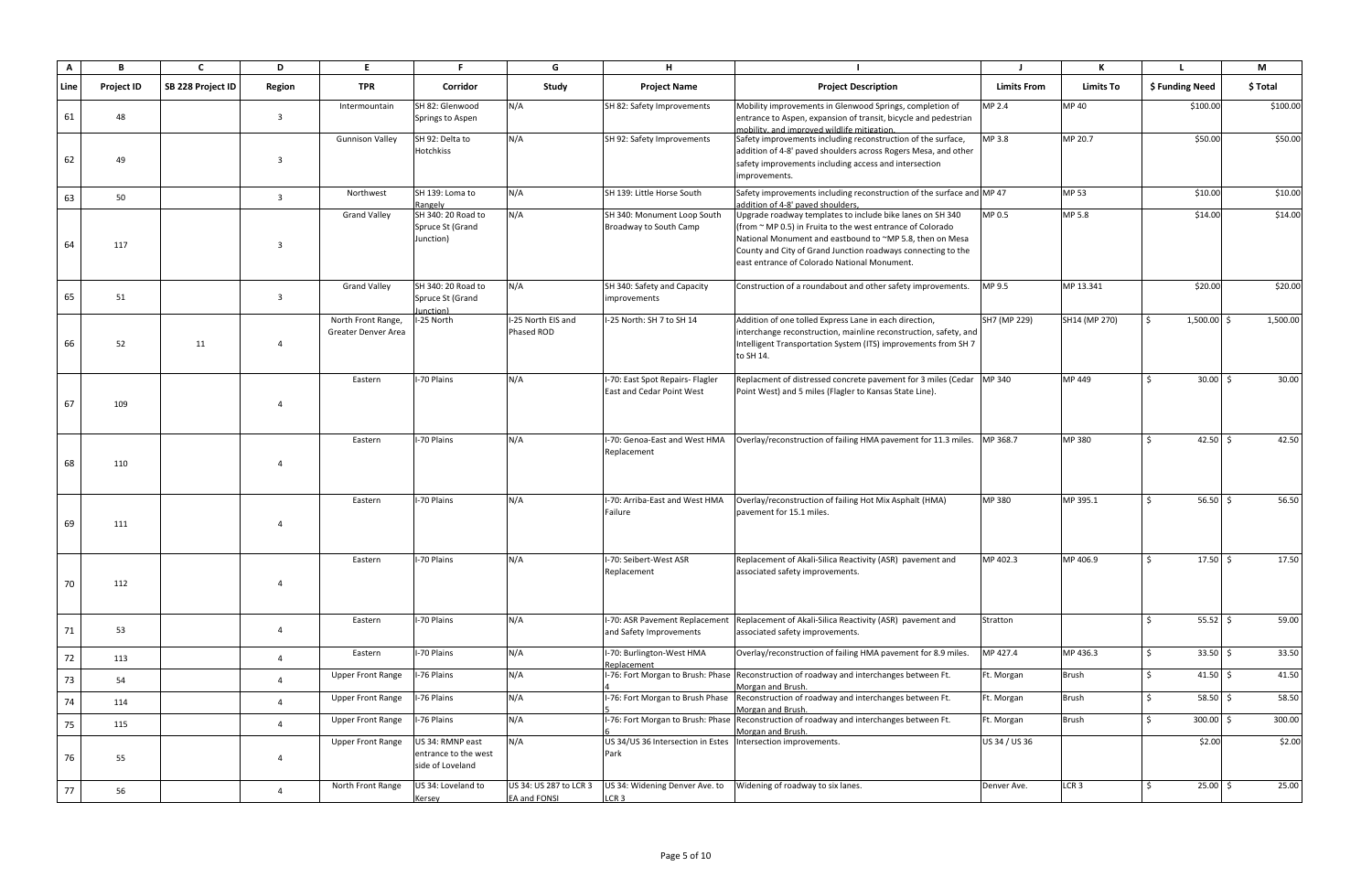| $\mathbf{A}$ | B                 | $\mathbf{C}$      | D                      | E.                                        | . F                                                          | G                                      | Н.                                                                   |                                                                                                                                                                                                                                                                                                          |                    | К                |                          | M        |
|--------------|-------------------|-------------------|------------------------|-------------------------------------------|--------------------------------------------------------------|----------------------------------------|----------------------------------------------------------------------|----------------------------------------------------------------------------------------------------------------------------------------------------------------------------------------------------------------------------------------------------------------------------------------------------------|--------------------|------------------|--------------------------|----------|
| Line         | <b>Project ID</b> | SB 228 Project ID | Region                 | TPR                                       | Corridor                                                     | Study                                  | <b>Project Name</b>                                                  | <b>Project Description</b>                                                                                                                                                                                                                                                                               | <b>Limits From</b> | <b>Limits To</b> | \$ Funding Need          | \$ Total |
| 61           | 48                |                   | $\overline{3}$         | Intermountain                             | SH 82: Glenwood<br>Springs to Aspen                          | N/A                                    | SH 82: Safety Improvements                                           | Mobility improvements in Glenwood Springs, completion of<br>entrance to Aspen, expansion of transit, bicycle and pedestrian<br>mobility, and improved wildlife mitigation.                                                                                                                               | MP 2.4             | <b>MP40</b>      | \$100.00                 | \$100.00 |
| 62           | 49                |                   | $\overline{3}$         | <b>Gunnison Valley</b>                    | SH 92: Delta to<br><b>Hotchkiss</b>                          | N/A                                    | SH 92: Safety Improvements                                           | Safety improvements including reconstruction of the surface,<br>addition of 4-8' paved shoulders across Rogers Mesa, and other<br>safety improvements including access and intersection<br>improvements.                                                                                                 | MP 3.8             | MP 20.7          | \$50.00                  | \$50.00  |
| 63           | 50                |                   | $\overline{3}$         | Northwest                                 | SH 139: Loma to<br>Rangely                                   | N/A                                    | SH 139: Little Horse South                                           | Safety improvements including reconstruction of the surface and MP 47<br>addition of 4-8' paved shoulders,                                                                                                                                                                                               |                    | MP 53            | \$10.00                  | \$10.00  |
| 64           | 117               |                   | $\overline{3}$         | <b>Grand Valley</b>                       | SH 340: 20 Road to<br>Spruce St (Grand<br>Junction)          | N/A                                    | SH 340: Monument Loop South<br>Broadway to South Camp                | Upgrade roadway templates to include bike lanes on SH 340<br>(from $\sim$ MP 0.5) in Fruita to the west entrance of Colorado<br>National Monument and eastbound to ~MP 5.8, then on Mesa<br>County and City of Grand Junction roadways connecting to the<br>east entrance of Colorado National Monument. | MP 0.5             | MP 5.8           | \$14.00                  | \$14.00  |
| 65           | 51                |                   | $\overline{3}$         | <b>Grand Valley</b>                       | SH 340: 20 Road to<br>Spruce St (Grand<br>unction)           | N/A                                    | SH 340: Safety and Capacity<br>improvements                          | Construction of a roundabout and other safety improvements.                                                                                                                                                                                                                                              | MP 9.5             | MP 13.341        | \$20.00                  | \$20.00  |
| 66           | 52                | 11                | $\overline{4}$         | North Front Range,<br>Greater Denver Area | I-25 North                                                   | I-25 North EIS and<br>Phased ROD       | I-25 North: SH 7 to SH 14                                            | Addition of one tolled Express Lane in each direction,<br>interchange reconstruction, mainline reconstruction, safety, and<br>Intelligent Transportation System (ITS) improvements from SH 7<br>to SH 14.                                                                                                | SH7 (MP 229)       | SH14 (MP 270)    | $1,500.00$ \$<br>$\zeta$ | 1,500.00 |
| 67           | 109               |                   | $\boldsymbol{\Lambda}$ | Eastern                                   | I-70 Plains                                                  | N/A                                    | I-70: East Spot Repairs- Flagler<br>East and Cedar Point West        | Replacment of distressed concrete pavement for 3 miles (Cedar   MP 340<br>Point West) and 5 miles (Flagler to Kansas State Line).                                                                                                                                                                        |                    | MP 449           | $30.00$ \$               | 30.00    |
| 68           | 110               |                   | $\Delta$               | Eastern                                   | I-70 Plains                                                  | N/A                                    | I-70: Genoa-East and West HMA<br>Replacement                         | Overlay/reconstruction of failing HMA pavement for 11.3 miles. MP 368.7                                                                                                                                                                                                                                  |                    | MP 380           | 42.50 \$                 | 42.50    |
| 69           | 111               |                   | $\Delta$               | Eastern                                   | I-70 Plains                                                  | N/A                                    | I-70: Arriba-East and West HMA<br>Failure                            | Overlay/reconstruction of failing Hot Mix Asphalt (HMA)<br>pavement for 15.1 miles.                                                                                                                                                                                                                      | MP 380             | MP 395.1         | 56.50 \$                 | 56.50    |
| 70           | 112               |                   | $\overline{4}$         | Eastern                                   | I-70 Plains                                                  | N/A                                    | I-70: Seibert-West ASR<br>Replacement                                | Replacement of Akali-Silica Reactivity (ASR) pavement and<br>associated safety improvements.                                                                                                                                                                                                             | MP 402.3           | MP 406.9         | $17.50\%$                | 17.50    |
| 71           | 53                |                   | $\overline{4}$         | Eastern                                   | I-70 Plains                                                  | N/A                                    | I-70: ASR Pavement Replacement<br>and Safety Improvements            | Replacement of Akali-Silica Reactivity (ASR) pavement and<br>associated safety improvements.                                                                                                                                                                                                             | Stratton           |                  | $55.52 \div$             | 59.00    |
| 72           | 113               |                   | $\overline{4}$         | Eastern                                   | I-70 Plains                                                  | N/A                                    | I-70: Burlington-West HMA<br>Replacement                             | Overlay/reconstruction of failing HMA pavement for 8.9 miles.                                                                                                                                                                                                                                            | MP 427.4           | MP 436.3         | $33.50 \, \text{S}$      | 33.50    |
| 73           | 54                |                   | $\overline{4}$         | <b>Upper Front Range</b>                  | I-76 Plains                                                  | N/A                                    |                                                                      | I-76: Fort Morgan to Brush: Phase Reconstruction of roadway and interchanges between Ft.<br>Morgan and Brush.                                                                                                                                                                                            | Ft. Morgan         | <b>Brush</b>     | 41.50 \$<br>Ŝ.           | 41.50    |
| 74           | 114               |                   | $\overline{4}$         | <b>Upper Front Range</b>                  | I-76 Plains                                                  | N/A                                    | I-76: Fort Morgan to Brush Phase                                     | Reconstruction of roadway and interchanges between Ft.<br>Morgan and Brush.                                                                                                                                                                                                                              | Ft. Morgan         | Brush            | $58.50$ \$<br>Ŝ.         | 58.50    |
| 75           | 115               |                   | $\overline{4}$         | <b>Upper Front Range</b>                  | I-76 Plains                                                  | N/A                                    | -76: Fort Morgan to Brush: Phase                                     | Reconstruction of roadway and interchanges between Ft.<br>Morgan and Brush.                                                                                                                                                                                                                              | Ft. Morgan         | <b>Brush</b>     | $300.00$ \$<br>S.        | 300.00   |
| 76           | 55                |                   | $\overline{4}$         | <b>Upper Front Range</b>                  | US 34: RMNP east<br>entrance to the west<br>side of Loveland | N/A                                    | US 34/US 36 Intersection in Estes Intersection improvements.<br>Park |                                                                                                                                                                                                                                                                                                          | US 34 / US 36      |                  | \$2.00                   | \$2.00   |
| 77           | 56                |                   | $\overline{4}$         | North Front Range                         | US 34: Loveland to<br>Kersey                                 | US 34: US 287 to LCR 3<br>EA and FONSI | US 34: Widening Denver Ave. to<br>LCR <sub>3</sub>                   | Widening of roadway to six lanes.                                                                                                                                                                                                                                                                        | Denver Ave.        | LCR <sub>3</sub> | $25.00$ \$               | 25.00    |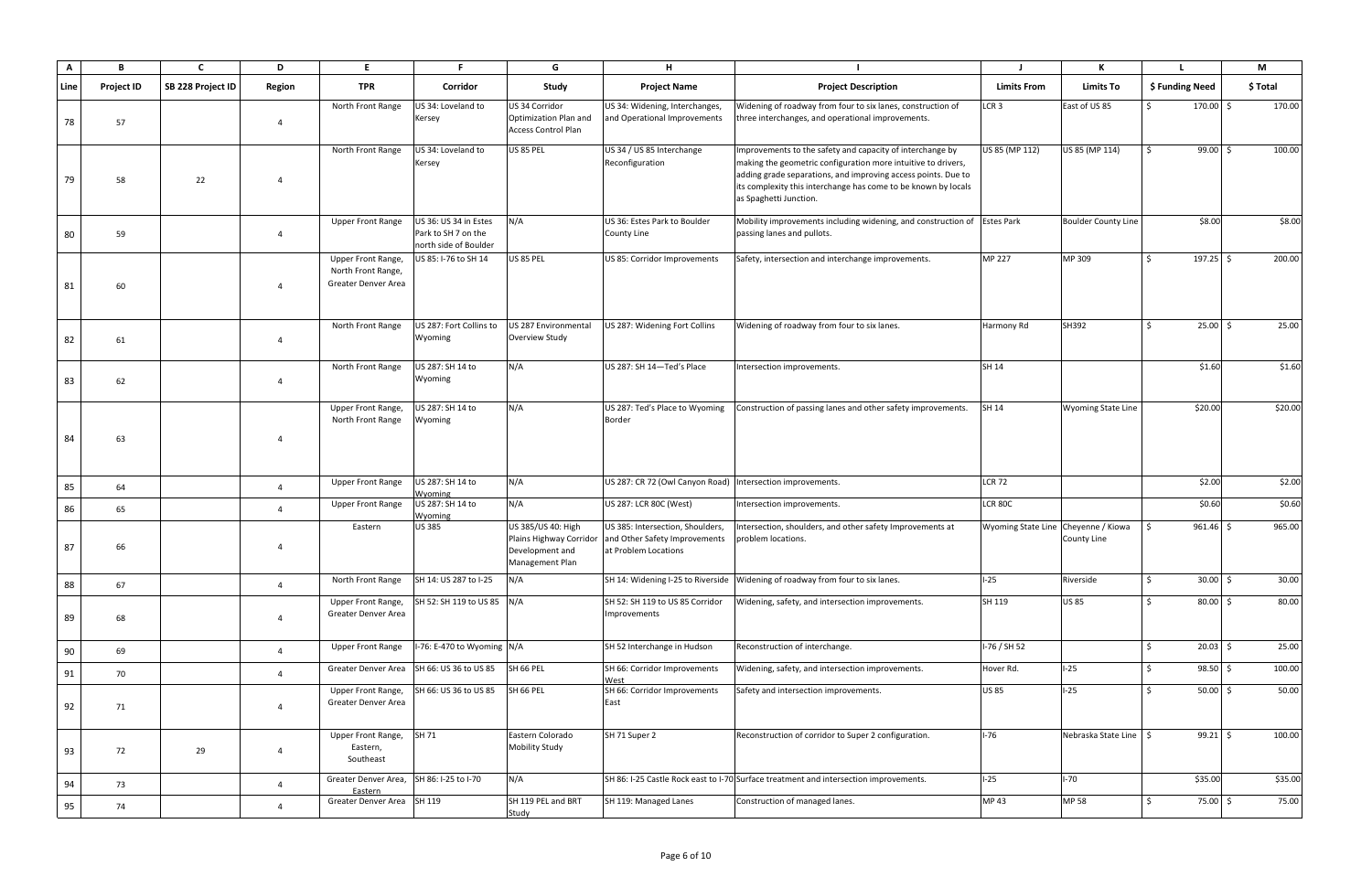| A    | B                 | $\mathbf{C}$      | D              | E.                                                              | <b>F</b>                                                              | G                                                                            | H                                                                                                                 |                                                                                                                                                                                                                                                                                         |                                     | К                          |                 |             | M        |
|------|-------------------|-------------------|----------------|-----------------------------------------------------------------|-----------------------------------------------------------------------|------------------------------------------------------------------------------|-------------------------------------------------------------------------------------------------------------------|-----------------------------------------------------------------------------------------------------------------------------------------------------------------------------------------------------------------------------------------------------------------------------------------|-------------------------------------|----------------------------|-----------------|-------------|----------|
| Line | <b>Project ID</b> | SB 228 Project ID | Region         | <b>TPR</b>                                                      | Corridor                                                              | Study                                                                        | <b>Project Name</b>                                                                                               | <b>Project Description</b>                                                                                                                                                                                                                                                              | <b>Limits From</b>                  | <b>Limits To</b>           | \$ Funding Need |             | \$ Total |
| 78   | 57                |                   | $\overline{4}$ | North Front Range                                               | US 34: Loveland to<br>Kersey                                          | US 34 Corridor<br><b>Optimization Plan and</b><br><b>Access Control Plan</b> | US 34: Widening, Interchanges,<br>and Operational Improvements                                                    | Widening of roadway from four to six lanes, construction of<br>three interchanges, and operational improvements.                                                                                                                                                                        | LCR <sub>3</sub>                    | East of US 85              | $\zeta$         | $170.00$ \$ | 170.00   |
| 79   | 58                | 22                | $\overline{4}$ | North Front Range                                               | US 34: Loveland to<br>Kersey                                          | <b>US 85 PEL</b>                                                             | US 34 / US 85 Interchange<br>Reconfiguration                                                                      | Improvements to the safety and capacity of interchange by<br>making the geometric configuration more intuitive to drivers,<br>adding grade separations, and improving access points. Due to<br>its complexity this interchange has come to be known by locals<br>as Spaghetti Junction. | US 85 (MP 112)                      | US 85 (MP 114)             | $\zeta$         | $99.00$ \$  | 100.00   |
| 80   | 59                |                   | $\overline{4}$ | <b>Upper Front Range</b>                                        | US 36: US 34 in Estes<br>Park to SH 7 on the<br>north side of Boulder | N/A                                                                          | US 36: Estes Park to Boulder<br><b>County Line</b>                                                                | Mobility improvements including widening, and construction of Estes Park<br>passing lanes and pullots.                                                                                                                                                                                  |                                     | <b>Boulder County Line</b> |                 | \$8.00      | \$8.00   |
| 81   | 60                |                   | $\overline{a}$ | Upper Front Range,<br>North Front Range,<br>Greater Denver Area | US 85: I-76 to SH 14                                                  | <b>US 85 PEL</b>                                                             | US 85: Corridor Improvements                                                                                      | Safety, intersection and interchange improvements.                                                                                                                                                                                                                                      | <b>MP 227</b>                       | MP 309                     |                 | $197.25$ \$ | 200.00   |
| 82   | 61                |                   | $\overline{4}$ | North Front Range                                               | US 287: Fort Collins to<br>Wyoming                                    | US 287 Environmental<br>Overview Study                                       | US 287: Widening Fort Collins                                                                                     | Widening of roadway from four to six lanes.                                                                                                                                                                                                                                             | Harmony Rd                          | SH392                      | Ŝ.              | $25.00$ \$  | 25.00    |
| 83   | 62                |                   | $\overline{4}$ | North Front Range                                               | US 287: SH 14 to<br>Wyoming                                           | N/A                                                                          | US 287: SH 14-Ted's Place                                                                                         | Intersection improvements.                                                                                                                                                                                                                                                              | SH 14                               |                            |                 | \$1.60      | \$1.60   |
| 84   | 63                |                   | $\overline{a}$ | Upper Front Range,<br>North Front Range                         | US 287: SH 14 to<br>Wyoming                                           | N/A                                                                          | US 287: Ted's Place to Wyoming<br>Border                                                                          | Construction of passing lanes and other safety improvements.                                                                                                                                                                                                                            | SH 14                               | <b>Wyoming State Line</b>  | \$20.00         |             | \$20.00  |
| 85   | 64                |                   | $\overline{4}$ | <b>Upper Front Range</b>                                        | US 287: SH 14 to<br>Wyoming                                           | N/A                                                                          | US 287: CR 72 (Owl Canyon Road) Intersection improvements.                                                        |                                                                                                                                                                                                                                                                                         | <b>LCR 72</b>                       |                            |                 | \$2.00      | \$2.00   |
| 86   | 65                |                   | $\overline{4}$ | <b>Upper Front Range</b>                                        | US 287: SH 14 to<br>Wyoming                                           | N/A                                                                          | US 287: LCR 80C (West)                                                                                            | Intersection improvements.                                                                                                                                                                                                                                                              | <b>LCR 80C</b>                      |                            |                 | \$0.60      | \$0.60   |
| 87   | 66                |                   | $\overline{4}$ | Eastern                                                         | <b>US385</b>                                                          | US 385/US 40: High<br>Development and<br>Management Plan                     | US 385: Intersection, Shoulders,<br>Plains Highway Corridor and Other Safety Improvements<br>at Problem Locations | Intersection, shoulders, and other safety Improvements at<br>problem locations.                                                                                                                                                                                                         | Wyoming State Line Cheyenne / Kiowa | <b>County Line</b>         |                 | $961.46$ \$ | 965.00   |
| 88   | 67                |                   | $\overline{4}$ | North Front Range                                               | SH 14: US 287 to I-25                                                 | N/A                                                                          |                                                                                                                   | SH 14: Widening I-25 to Riverside   Widening of roadway from four to six lanes.                                                                                                                                                                                                         | $-25$                               | Riverside                  | $\mathsf{S}$    | $30.00$ \$  | 30.00    |
| 89   | 68                |                   | $\overline{a}$ | Upper Front Range,<br>Greater Denver Area                       | SH 52: SH 119 to US 85 N/A                                            |                                                                              | SH 52: SH 119 to US 85 Corridor<br>Improvements                                                                   | Widening, safety, and intersection improvements.                                                                                                                                                                                                                                        | SH 119                              | <b>US85</b>                | Ŝ.              | $80.00$ \$  | 80.00    |
| 90   | 69                |                   | $\overline{4}$ | <b>Upper Front Range</b>                                        | I-76: E-470 to Wyoming N/A                                            |                                                                              | SH 52 Interchange in Hudson                                                                                       | Reconstruction of interchange.                                                                                                                                                                                                                                                          | I-76 / SH 52                        |                            | Ŝ.              | $20.03$ \$  | 25.00    |
| 91   | 70                |                   | $\overline{4}$ | Greater Denver Area                                             | SH 66: US 36 to US 85                                                 | SH 66 PEL                                                                    | SH 66: Corridor Improvements<br>West                                                                              | Widening, safety, and intersection improvements.                                                                                                                                                                                                                                        | Hover Rd.                           | $1-25$                     | Ŝ.              | $98.50$ \$  | 100.00   |
| 92   | 71                |                   | $\overline{4}$ | Upper Front Range,<br>Greater Denver Area                       | SH 66: US 36 to US 85                                                 | SH 66 PEL                                                                    | SH 66: Corridor Improvements<br>East                                                                              | Safety and intersection improvements.                                                                                                                                                                                                                                                   | <b>US 85</b>                        | $I-25$                     | \$              | $50.00$ \$  | 50.00    |
| 93   | 72                | 29                | $\overline{4}$ | Upper Front Range,<br>Eastern,<br>Southeast                     | SH 71                                                                 | Eastern Colorado<br><b>Mobility Study</b>                                    | SH 71 Super 2                                                                                                     | Reconstruction of corridor to Super 2 configuration.                                                                                                                                                                                                                                    | $I-76$                              | Nebraska State Line        | I \$            | $99.21$ \$  | 100.00   |
| 94   | 73                |                   | $\overline{4}$ | Greater Denver Area,<br>Eastern                                 | SH 86: I-25 to I-70                                                   | N/A                                                                          |                                                                                                                   | SH 86: I-25 Castle Rock east to I-70 Surface treatment and intersection improvements.                                                                                                                                                                                                   | $I-25$                              | $I-70$                     | \$35.00         |             | \$35.00  |
| 95   | 74                |                   | $\overline{a}$ | Greater Denver Area SH 119                                      |                                                                       | SH 119 PEL and BRT<br>Study                                                  | SH 119: Managed Lanes                                                                                             | Construction of managed lanes.                                                                                                                                                                                                                                                          | MP 43                               | <b>MP 58</b>               | Ŝ.              | 75.00 \$    | 75.00    |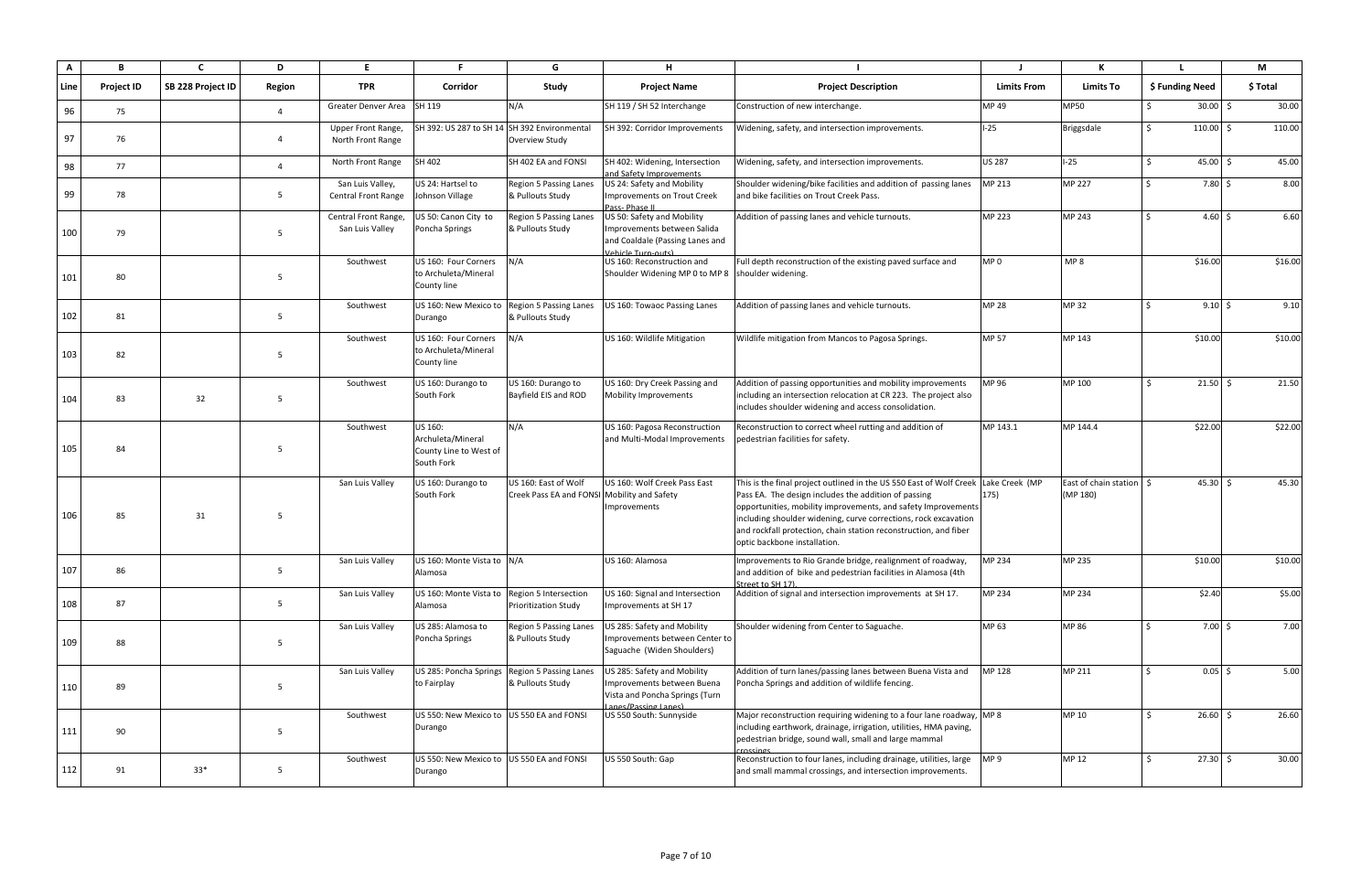| A    | В                 |                   | D               | E.                                            | Е                                                                    | G                                                                   | н                                                                                                                  |                                                                                                                                                                                                                                                                                                                                                                                    |                    |                                              |                          | М        |
|------|-------------------|-------------------|-----------------|-----------------------------------------------|----------------------------------------------------------------------|---------------------------------------------------------------------|--------------------------------------------------------------------------------------------------------------------|------------------------------------------------------------------------------------------------------------------------------------------------------------------------------------------------------------------------------------------------------------------------------------------------------------------------------------------------------------------------------------|--------------------|----------------------------------------------|--------------------------|----------|
| Line | <b>Project ID</b> | SB 228 Project ID | Region          | <b>TPR</b>                                    | Corridor                                                             | Study                                                               | <b>Project Name</b>                                                                                                | <b>Project Description</b>                                                                                                                                                                                                                                                                                                                                                         | <b>Limits From</b> | <b>Limits To</b>                             | \$ Funding Need          | \$ Total |
| 96   | 75                |                   | $\overline{4}$  | Greater Denver Area SH 119                    |                                                                      | N/A                                                                 | SH 119 / SH 52 Interchange                                                                                         | Construction of new interchange.                                                                                                                                                                                                                                                                                                                                                   | MP 49              | <b>MP50</b>                                  | $30.00$ \$               | 30.00    |
| 97   | 76                |                   | $\overline{4}$  | <b>Upper Front Range</b><br>North Front Range | SH 392: US 287 to SH 14 SH 392 Environmental                         | Overview Study                                                      | SH 392: Corridor Improvements                                                                                      | Widening, safety, and intersection improvements.                                                                                                                                                                                                                                                                                                                                   | $1-25$             | <b>Briggsdale</b>                            | $110.00$ \$<br>Ŝ.        | 110.00   |
| 98   | 77                |                   | $\overline{4}$  | North Front Range                             | SH 402                                                               | SH 402 EA and FONSI                                                 | SH 402: Widening, Intersection<br>and Safety Improvements                                                          | Widening, safety, and intersection improvements.                                                                                                                                                                                                                                                                                                                                   | <b>US 287</b>      | $I-25$                                       | $45.00 \pm 5$<br>$\zeta$ | 45.00    |
| 99   | 78                |                   | $5\overline{5}$ | San Luis Valley,<br>Central Front Range       | US 24: Hartsel to<br>Johnson Village                                 | Region 5 Passing Lanes<br>& Pullouts Study                          | US 24: Safety and Mobility<br>Improvements on Trout Creek<br>Pass-Phase II                                         | Shoulder widening/bike facilities and addition of passing lanes<br>and bike facilities on Trout Creek Pass.                                                                                                                                                                                                                                                                        | MP 213             | <b>MP 227</b>                                | $7.80 \;$ \$             | 8.00     |
| 100  | 79                |                   | -5              | Central Front Range,<br>San Luis Valley       | US 50: Canon City to<br>Poncha Springs                               | Region 5 Passing Lanes<br>& Pullouts Study                          | US 50: Safety and Mobility<br>Improvements between Salida<br>and Coaldale (Passing Lanes and<br>Vehicle Turn-outs) | Addition of passing lanes and vehicle turnouts.                                                                                                                                                                                                                                                                                                                                    | MP 223             | MP 243                                       | $4.60 \pm 5$             | 6.60     |
| 101  | 80                |                   | -5              | Southwest                                     | US 160: Four Corners<br>to Archuleta/Mineral<br>County line          | N/A                                                                 | US 160: Reconstruction and<br>Shoulder Widening MP 0 to MP 8 Shoulder widening.                                    | Full depth reconstruction of the existing paved surface and                                                                                                                                                                                                                                                                                                                        | MP <sub>0</sub>    | MP <sub>8</sub>                              | \$16.00                  | \$16.00  |
| 102  | 81                |                   | -5              | Southwest                                     | US 160: New Mexico to Region 5 Passing Lanes<br>Durango              | & Pullouts Study                                                    | US 160: Towaoc Passing Lanes                                                                                       | Addition of passing lanes and vehicle turnouts.                                                                                                                                                                                                                                                                                                                                    | <b>MP 28</b>       | <b>MP32</b>                                  | $9.10 \,$ \$             | 9.10     |
| 103  | 82                |                   | -5              | Southwest                                     | US 160: Four Corners<br>to Archuleta/Mineral<br>County line          | N/A                                                                 | US 160: Wildlife Mitigation                                                                                        | Wildlife mitigation from Mancos to Pagosa Springs.                                                                                                                                                                                                                                                                                                                                 | <b>MP 57</b>       | MP 143                                       | \$10.00                  | \$10.00  |
| 104  | 83                | 32                | 5               | Southwest                                     | US 160: Durango to<br>South Fork                                     | US 160: Durango to<br>Bayfield EIS and ROD                          | US 160: Dry Creek Passing and<br><b>Mobility Improvements</b>                                                      | Addition of passing opportunities and mobility improvements<br>including an intersection relocation at CR 223. The project also<br>includes shoulder widening and access consolidation.                                                                                                                                                                                            | MP 96              | MP 100                                       | $21.50$ \$               | 21.50    |
| 105  | 84                |                   | -5              | Southwest                                     | US 160:<br>Archuleta/Mineral<br>County Line to West of<br>South Fork | N/A                                                                 | US 160: Pagosa Reconstruction<br>and Multi-Modal Improvements                                                      | Reconstruction to correct wheel rutting and addition of<br>pedestrian facilities for safety.                                                                                                                                                                                                                                                                                       | MP 143.1           | MP 144.4                                     | \$22.00                  | \$22.00  |
| 106  | 85                | 31                | -5              | San Luis Valley                               | US 160: Durango to<br>South Fork                                     | US 160: East of Wolf<br>Creek Pass EA and FONSI Mobility and Safety | US 160: Wolf Creek Pass East<br>Improvements                                                                       | This is the final project outlined in the US 550 East of Wolf Creek Lake Creek (MP<br>Pass EA. The design includes the addition of passing<br>opportunities, mobility improvements, and safety Improvements<br>including shoulder widening, curve corrections, rock excavation<br>and rockfall protection, chain station reconstruction, and fiber<br>optic backbone installation. | 175)               | East of chain station $\vert$ \$<br>(MP 180) | $45.30 \, \text{S}$      | 45.30    |
| 107  | 86                |                   | -5              | San Luis Valley                               | US 160: Monte Vista to N/A<br>Alamosa                                |                                                                     | US 160: Alamosa                                                                                                    | Improvements to Rio Grande bridge, realignment of roadway,<br>and addition of bike and pedestrian facilities in Alamosa (4th<br>Street to SH 17).                                                                                                                                                                                                                                  | MP 234             | MP 235                                       | \$10.00                  | \$10.00  |
| 108  | 87                |                   | $5\overline{)}$ | San Luis Valley                               | US 160: Monte Vista to Region 5 Intersection<br>Alamosa              | Prioritization Study                                                | US 160: Signal and Intersection<br>Improvements at SH 17                                                           | Addition of signal and intersection improvements at SH 17.                                                                                                                                                                                                                                                                                                                         | MP 234             | MP 234                                       | \$2.40                   | \$5.00   |
| 109  | 88                |                   | 5               | San Luis Valley                               | US 285: Alamosa to<br>Poncha Springs                                 | Region 5 Passing Lanes<br>& Pullouts Study                          | US 285: Safety and Mobility<br>Improvements between Center to<br>Saguache (Widen Shoulders)                        | Shoulder widening from Center to Saguache.                                                                                                                                                                                                                                                                                                                                         | MP 63              | MP 86                                        | $7.00 \, \text{S}$       | 7.00     |
| 110  | 89                |                   | 5               | San Luis Valley                               | US 285: Poncha Springs<br>to Fairplay                                | Region 5 Passing Lanes<br>& Pullouts Study                          | US 285: Safety and Mobility<br>Improvements between Buena<br>Vista and Poncha Springs (Turn<br>anes/Passing Lanes) | Addition of turn lanes/passing lanes between Buena Vista and<br>Poncha Springs and addition of wildlife fencing.                                                                                                                                                                                                                                                                   | MP 128             | MP 211                                       | $0.05$ \$                | 5.00     |
| 111  | 90                |                   | 5               | Southwest                                     | US 550: New Mexico to US 550 EA and FONSI<br>Durango                 |                                                                     | US 550 South: Sunnyside                                                                                            | Major reconstruction requiring widening to a four lane roadway, MP 8<br>including earthwork, drainage, irrigation, utilities, HMA paving,<br>pedestrian bridge, sound wall, small and large mammal<br>rossings                                                                                                                                                                     |                    | MP 10                                        | $26.60 \div$<br>Ŝ.       | 26.60    |
| 112  | 91                | $33*$             | 5               | Southwest                                     | US 550: New Mexico to US 550 EA and FONSI<br>Durango                 |                                                                     | US 550 South: Gap                                                                                                  | Reconstruction to four lanes, including drainage, utilities, large<br>and small mammal crossings, and intersection improvements.                                                                                                                                                                                                                                                   | MP <sub>9</sub>    | MP 12                                        | $27.30 \; \S$            | 30.00    |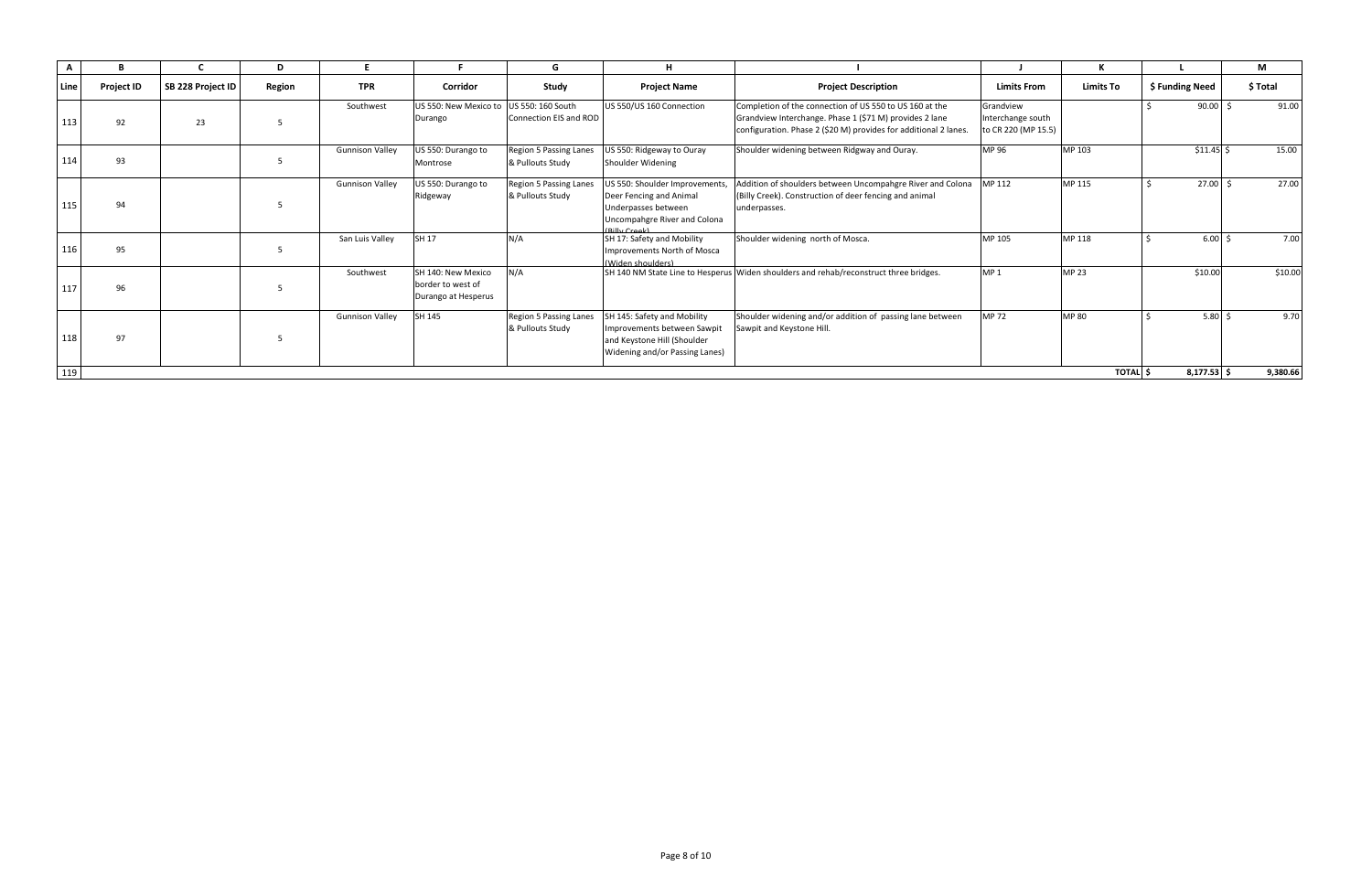| A    |                   |                   | D      |                        |                                                                | G                                                 |                                                                                                                                   |                                                                                                                                                                                        |                                                       |                  |                           | M              |
|------|-------------------|-------------------|--------|------------------------|----------------------------------------------------------------|---------------------------------------------------|-----------------------------------------------------------------------------------------------------------------------------------|----------------------------------------------------------------------------------------------------------------------------------------------------------------------------------------|-------------------------------------------------------|------------------|---------------------------|----------------|
| Line | <b>Project ID</b> | SB 228 Project ID | Region | <b>TPR</b>             | Corridor                                                       | Study                                             | <b>Project Name</b>                                                                                                               | <b>Project Description</b>                                                                                                                                                             | <b>Limits From</b>                                    | <b>Limits To</b> | \$ Funding Need           | <b>S Total</b> |
| 113  | 92                | 23                |        | Southwest              | US 550: New Mexico to<br>Durango                               | US 550: 160 South<br>Connection EIS and ROD       | US 550/US 160 Connection                                                                                                          | Completion of the connection of US 550 to US 160 at the<br>Grandview Interchange. Phase 1 (\$71 M) provides 2 lane<br>configuration. Phase 2 (\$20 M) provides for additional 2 lanes. | Grandview<br>Interchange south<br>to CR 220 (MP 15.5) |                  | $90.00$ \$                | 91.00          |
| 114  | 93                |                   |        | <b>Gunnison Valley</b> | US 550: Durango to<br>Montrose                                 | <b>Region 5 Passing Lanes</b><br>& Pullouts Study | JS 550: Ridgeway to Ouray<br>Shoulder Widening                                                                                    | Shoulder widening between Ridgway and Ouray.                                                                                                                                           | MP 96                                                 | MP 103           | $$11.45$ \$               | 15.00          |
| 115  | 94                |                   |        | <b>Gunnison Valley</b> | US 550: Durango to<br>Ridgeway                                 | Region 5 Passing Lanes<br>& Pullouts Study        | US 550: Shoulder Improvements,<br>Deer Fencing and Animal<br>Underpasses between<br>Uncompahgre River and Colona<br>(Billy Creek) | Addition of shoulders between Uncompahgre River and Colona<br>(Billy Creek). Construction of deer fencing and animal<br>underpasses.                                                   | MP 112                                                | MP 115           | $27.00$ \$                | 27.00          |
| 116  | 95                |                   |        | San Luis Valley        | <b>SH 17</b>                                                   | N/A                                               | SH 17: Safety and Mobility<br>Improvements North of Mosca<br>(Widen shoulders)                                                    | Shoulder widening north of Mosca.                                                                                                                                                      | MP 105                                                | MP 118           | $6.00\frac{1}{5}$         | 7.00           |
| 117  | 96                |                   |        | Southwest              | SH 140: New Mexico<br>border to west of<br>Durango at Hesperus | N/A                                               |                                                                                                                                   | SH 140 NM State Line to Hesperus Widen shoulders and rehab/reconstruct three bridges.                                                                                                  | MP <sub>1</sub>                                       | <b>MP 23</b>     | \$10.00                   | \$10.00        |
| 118  | 97                |                   |        | <b>Gunnison Valley</b> | SH 145                                                         | <b>Region 5 Passing Lanes</b><br>& Pullouts Study | SH 145: Safety and Mobility<br>Improvements between Sawpit<br>and Keystone Hill (Shoulder<br>Widening and/or Passing Lanes)       | Shoulder widening and/or addition of passing lane between<br>Sawpit and Keystone Hill.                                                                                                 | <b>MP72</b>                                           | <b>MP 80</b>     | $5.80\frac{1}{2}$         | 9.70           |
| 119  |                   |                   |        |                        |                                                                |                                                   |                                                                                                                                   |                                                                                                                                                                                        |                                                       |                  | $8,177.53$ \$<br>TOTAL \$ | 9,380.66       |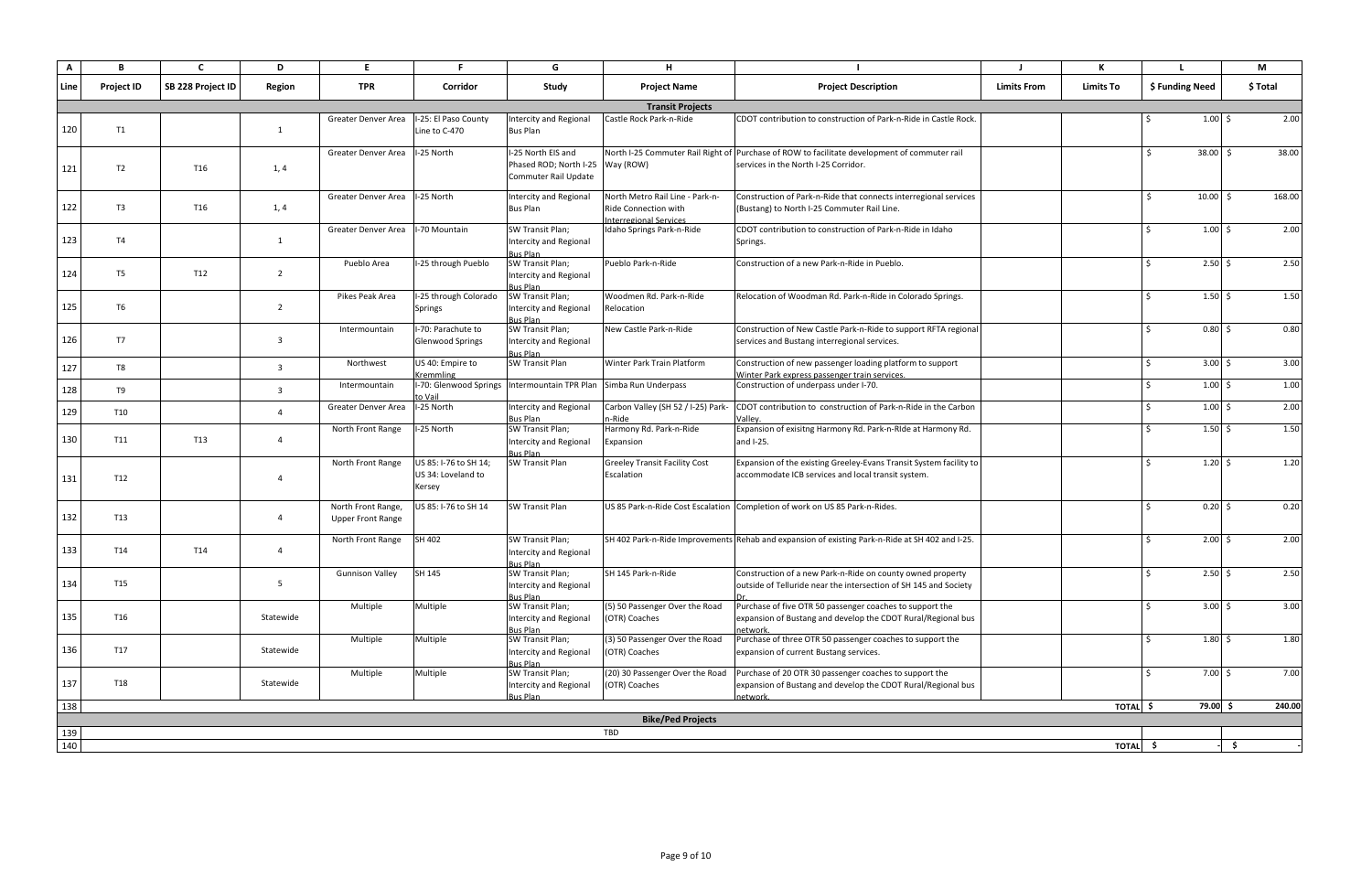| A    | в                 |                   | D              | E.                                             |                                                       | G                                                                              | н                                                                                               |                                                                                                                                      |                    |                  |                              | М        |
|------|-------------------|-------------------|----------------|------------------------------------------------|-------------------------------------------------------|--------------------------------------------------------------------------------|-------------------------------------------------------------------------------------------------|--------------------------------------------------------------------------------------------------------------------------------------|--------------------|------------------|------------------------------|----------|
| Line | <b>Project ID</b> | SB 228 Project ID | Region         | <b>TPR</b>                                     | Corridor                                              | Study                                                                          | <b>Project Name</b>                                                                             | <b>Project Description</b>                                                                                                           | <b>Limits From</b> | <b>Limits To</b> | \$ Funding Need              | \$ Total |
|      |                   |                   |                |                                                |                                                       |                                                                                | <b>Transit Projects</b>                                                                         |                                                                                                                                      |                    |                  |                              |          |
| 120  | T1                |                   | 1              | <b>Greater Denver Area</b>                     | I-25: El Paso County<br>Line to C-470                 | <b>Intercity and Regional</b><br>Bus Plan                                      | Castle Rock Park-n-Ride                                                                         | CDOT contribution to construction of Park-n-Ride in Castle Rock.                                                                     |                    |                  | $1.00 \leq$                  | 2.00     |
| 121  | T <sub>2</sub>    | T16               | 1, 4           | Greater Denver Area                            | I-25 North                                            | I-25 North EIS and<br>Phased ROD; North I-25 Way (ROW)<br>Commuter Rail Update |                                                                                                 | North I-25 Commuter Rail Right of Purchase of ROW to facilitate development of commuter rail<br>services in the North I-25 Corridor. |                    |                  | $38.00$ \$<br>Ŝ.             | 38.00    |
| 122  | T <sub>3</sub>    | T16               | 1, 4           | Greater Denver Area                            | I-25 North                                            | <b>Intercity and Regional</b><br><b>Bus Plan</b>                               | North Metro Rail Line - Park-n-<br><b>Ride Connection with</b><br><b>Interregional Services</b> | Construction of Park-n-Ride that connects interregional services<br>(Bustang) to North I-25 Commuter Rail Line.                      |                    |                  | $10.00$ \$<br>$\zeta$        | 168.00   |
| 123  | <b>T4</b>         |                   | 1              | Greater Denver Area                            | I-70 Mountain                                         | SW Transit Plan;<br>Intercity and Regional<br><b>Bus Plan</b>                  | Idaho Springs Park-n-Ride                                                                       | CDOT contribution to construction of Park-n-Ride in Idaho<br>Springs.                                                                |                    |                  | $1.00 \,$ \$                 | 2.00     |
| 124  | T <sub>5</sub>    | T12               | 2              | Pueblo Area                                    | I-25 through Pueblo                                   | SW Transit Plan;<br>Intercity and Regional<br><b>Bus Plan</b>                  | Pueblo Park-n-Ride                                                                              | Construction of a new Park-n-Ride in Pueblo.                                                                                         |                    |                  | $2.50 \div$                  | 2.50     |
| 125  | T <sub>6</sub>    |                   | $\overline{2}$ | Pikes Peak Area                                | I-25 through Colorado<br><b>Springs</b>               | SW Transit Plan;<br><b>Intercity and Regional</b><br><b>Bus Plan</b>           | Woodmen Rd. Park-n-Ride<br>Relocation                                                           | Relocation of Woodman Rd. Park-n-Ride in Colorado Springs.                                                                           |                    |                  | $1.50 \pm 5$                 | 1.50     |
| 126  | T7                |                   | $\overline{3}$ | Intermountain                                  | I-70: Parachute to<br><b>Glenwood Springs</b>         | SW Transit Plan;<br>Intercity and Regional<br><b>Bus Plan</b>                  | New Castle Park-n-Ride                                                                          | Construction of New Castle Park-n-Ride to support RFTA regional<br>services and Bustang interregional services.                      |                    |                  | $0.80$ \$                    | 0.80     |
| 127  | T8                |                   | $\overline{3}$ | Northwest                                      | US 40: Empire to<br>Kremmling                         | <b>SW Transit Plan</b>                                                         | Winter Park Train Platform                                                                      | Construction of new passenger loading platform to support<br>Winter Park express passenger train services.                           |                    |                  | $3.00 \, \text{S}$           | 3.00     |
| 128  | T9                |                   | 3              | Intermountain                                  | I-70: Glenwood Springs<br>to Vail                     | Intermountain TPR Plan Simba Run Underpass                                     |                                                                                                 | Construction of underpass under I-70.                                                                                                |                    |                  | $1.00 \pm 5$                 | 1.00     |
| 129  | <b>T10</b>        |                   | $\Delta$       | Greater Denver Area                            | I-25 North                                            | <b>Intercity and Regional</b><br>Bus Plan                                      | Carbon Valley (SH 52 / I-25) Park-<br>n-Ride                                                    | CDOT contribution to construction of Park-n-Ride in the Carbon<br>Valley                                                             |                    |                  | $1.00 \,$ \$                 | 2.00     |
| 130  | <b>T11</b>        | T13               | $\overline{4}$ | North Front Range                              | I-25 North                                            | SW Transit Plan;<br><b>Intercity and Regional</b><br><b>Bus Plan</b>           | Harmony Rd. Park-n-Ride<br>Expansion                                                            | Expansion of exisitng Harmony Rd. Park-n-RIde at Harmony Rd.<br>and I-25.                                                            |                    |                  | $1.50 \,$ \$                 | 1.50     |
| 131  | T12               |                   | $\overline{4}$ | North Front Range                              | US 85: I-76 to SH 14;<br>US 34: Loveland to<br>Kersey | SW Transit Plan                                                                | <b>Greeley Transit Facility Cost</b><br>Escalation                                              | Expansion of the existing Greeley-Evans Transit System facility to<br>accommodate ICB services and local transit system.             |                    |                  | $1.20 \pm 5$                 | 1.20     |
| 132  | T13               |                   | $\overline{a}$ | North Front Range,<br><b>Upper Front Range</b> | US 85: I-76 to SH 14                                  | <b>SW Transit Plan</b>                                                         |                                                                                                 | US 85 Park-n-Ride Cost Escalation Completion of work on US 85 Park-n-Rides.                                                          |                    |                  | $0.20\,$ \$<br>S.            | 0.20     |
| 133  | T14               | T14               | $\overline{4}$ | North Front Range                              | SH 402                                                | SW Transit Plan;<br><b>Intercity and Regional</b><br><b>Bus Plan</b>           |                                                                                                 | SH 402 Park-n-Ride Improvements Rehab and expansion of existing Park-n-Ride at SH 402 and I-25.                                      |                    |                  | $2.00 \, \text{S}$           | 2.00     |
| 134  | T15               |                   | 5              | <b>Gunnison Valley</b>                         | SH 145                                                | SW Transit Plan;<br><b>Intercity and Regional</b><br>Bus Plan                  | SH 145 Park-n-Ride                                                                              | Construction of a new Park-n-Ride on county owned property<br>outside of Telluride near the intersection of SH 145 and Society       |                    |                  | $2.50 \pm 5$                 | 2.50     |
| 135  | T16               |                   | Statewide      | Multiple                                       | Multiple                                              | SW Transit Plan;<br><b>Intercity and Regional</b><br><b>Bus Plan</b>           | (5) 50 Passenger Over the Road<br>(OTR) Coaches                                                 | Purchase of five OTR 50 passenger coaches to support the<br>expansion of Bustang and develop the CDOT Rural/Regional bus<br>network  |                    |                  | $3.00 \div$<br>Ŝ.            | 3.00     |
| 136  | T17               |                   | Statewide      | Multiple                                       | Multiple                                              | SW Transit Plan;<br><b>Intercity and Regional</b><br><b>Bus Plan</b>           | (3) 50 Passenger Over the Road<br>(OTR) Coaches                                                 | Purchase of three OTR 50 passenger coaches to support the<br>expansion of current Bustang services.                                  |                    |                  | $1.80 \div$<br>$\mathcal{S}$ | 1.80     |
| 137  | <b>T18</b>        |                   | Statewide      | Multiple                                       | Multiple                                              | SW Transit Plan;<br>Intercity and Regional<br>Bus Plan                         | (20) 30 Passenger Over the Road<br>(OTR) Coaches                                                | Purchase of 20 OTR 30 passenger coaches to support the<br>expansion of Bustang and develop the CDOT Rural/Regional bus<br>network.   |                    |                  | $7.00 \div$<br>Ŝ.            | 7.00     |
| 138  |                   |                   |                |                                                |                                                       |                                                                                |                                                                                                 |                                                                                                                                      |                    | TOTAL \$         | 79.00 \$                     | 240.00   |
|      |                   |                   |                |                                                |                                                       |                                                                                | <b>Bike/Ped Projects</b>                                                                        |                                                                                                                                      |                    |                  |                              |          |
| 139  |                   |                   |                |                                                |                                                       |                                                                                | <b>TBD</b>                                                                                      |                                                                                                                                      |                    |                  |                              |          |
| 140  |                   |                   |                |                                                |                                                       |                                                                                |                                                                                                 |                                                                                                                                      |                    | TOTAL \$         |                              | -\$      |